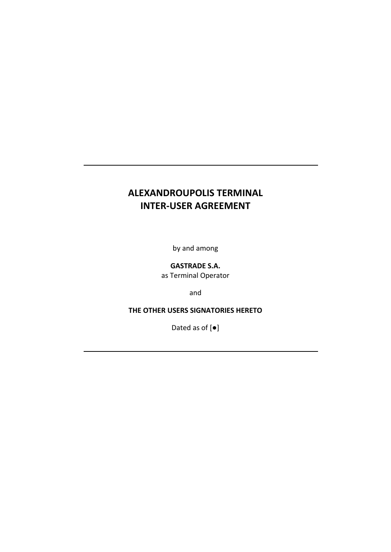# **ALEXANDROUPOLIS TERMINAL INTER-USER AGREEMENT**

by and among

**GASTRADE S.A.**

as Terminal Operator

and

**THE OTHER USERS SIGNATORIES HERETO**

Dated as of [●]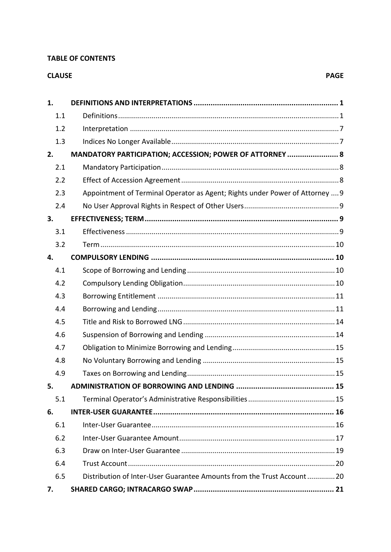#### **TABLE OF CONTENTS**

# **CLAUSE**

| 1.  |                                                                              |
|-----|------------------------------------------------------------------------------|
| 1.1 |                                                                              |
| 1.2 |                                                                              |
| 1.3 |                                                                              |
| 2.  | MANDATORY PARTICIPATION; ACCESSION; POWER OF ATTORNEY  8                     |
| 2.1 |                                                                              |
| 2.2 |                                                                              |
| 2.3 | Appointment of Terminal Operator as Agent; Rights under Power of Attorney  9 |
| 2.4 |                                                                              |
| 3.  |                                                                              |
| 3.1 |                                                                              |
| 3.2 |                                                                              |
| 4.  |                                                                              |
| 4.1 |                                                                              |
| 4.2 |                                                                              |
| 4.3 |                                                                              |
| 4.4 |                                                                              |
| 4.5 |                                                                              |
| 4.6 |                                                                              |
| 4.7 |                                                                              |
| 4.8 |                                                                              |
| 4.9 |                                                                              |
| 5.  |                                                                              |
| 5.1 |                                                                              |
| 6.  |                                                                              |
| 6.1 |                                                                              |
| 6.2 |                                                                              |
| 6.3 |                                                                              |
| 6.4 |                                                                              |
| 6.5 | Distribution of Inter-User Guarantee Amounts from the Trust Account 20       |
| 7.  |                                                                              |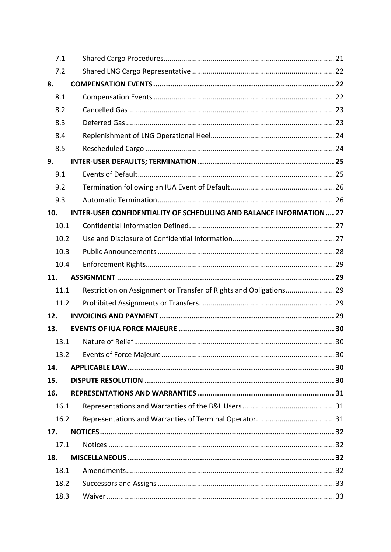|     | 7.1  |                                                                     |  |
|-----|------|---------------------------------------------------------------------|--|
|     | 7.2  |                                                                     |  |
| 8.  |      |                                                                     |  |
|     | 8.1  |                                                                     |  |
|     | 8.2  |                                                                     |  |
|     | 8.3  |                                                                     |  |
|     | 8.4  |                                                                     |  |
|     | 8.5  |                                                                     |  |
| 9.  |      |                                                                     |  |
|     | 9.1  |                                                                     |  |
|     | 9.2  |                                                                     |  |
|     | 9.3  |                                                                     |  |
| 10. |      | INTER-USER CONFIDENTIALITY OF SCHEDULING AND BALANCE INFORMATION 27 |  |
|     | 10.1 |                                                                     |  |
|     | 10.2 |                                                                     |  |
|     | 10.3 |                                                                     |  |
|     | 10.4 |                                                                     |  |
| 11. |      |                                                                     |  |
|     | 11.1 | Restriction on Assignment or Transfer of Rights and Obligations 29  |  |
|     | 11.2 |                                                                     |  |
| 12. |      |                                                                     |  |
| 13. |      |                                                                     |  |
|     | 13.1 |                                                                     |  |
|     | 13.2 |                                                                     |  |
| 14. |      |                                                                     |  |
| 15. |      |                                                                     |  |
| 16. |      |                                                                     |  |
|     | 16.1 |                                                                     |  |
|     | 16.2 |                                                                     |  |
| 17. |      |                                                                     |  |
|     | 17.1 |                                                                     |  |
| 18. |      |                                                                     |  |
|     | 18.1 |                                                                     |  |
|     | 18.2 |                                                                     |  |
|     | 18.3 |                                                                     |  |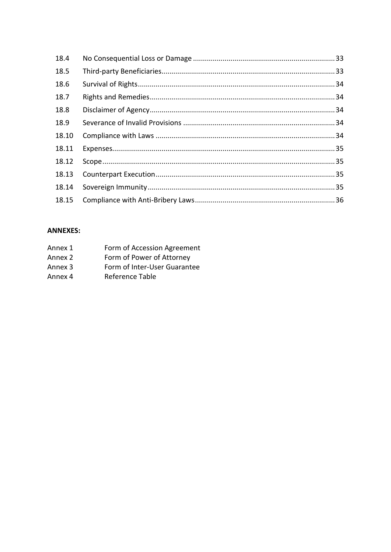| 18.4  |  |
|-------|--|
| 18.5  |  |
| 18.6  |  |
| 18.7  |  |
| 18.8  |  |
| 18.9  |  |
| 18.10 |  |
| 18.11 |  |
| 18.12 |  |
| 18.13 |  |
| 18.14 |  |
| 18.15 |  |

# **ANNEXES:**

| Annex 1 | Form of Accession Agreement  |
|---------|------------------------------|
| Annex 2 | Form of Power of Attorney    |
| Annex 3 | Form of Inter-User Guarantee |

Annex 4 Reference Table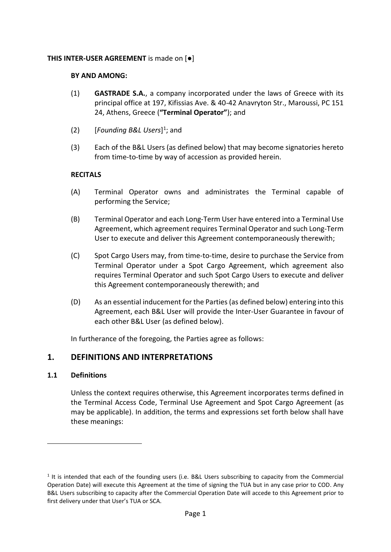## **THIS INTER-USER AGREEMENT** is made on [●]

#### **BY AND AMONG:**

- (1) **GASTRADE S.A.**, a company incorporated under the laws of Greece with its principal office at 197, Kifissias Ave. & 40-42 Anavryton Str., Maroussi, PC 151 24, Athens, Greece (**"Terminal Operator"**); and
- (2) [*Founding B&L Users*] 1 ; and
- (3) Each of the B&L Users (as defined below) that may become signatories hereto from time-to-time by way of accession as provided herein.

## **RECITALS**

- (A) Terminal Operator owns and administrates the Terminal capable of performing the Service;
- (B) Terminal Operator and each Long-Term User have entered into a Terminal Use Agreement, which agreement requires Terminal Operator and such Long-Term User to execute and deliver this Agreement contemporaneously therewith;
- (C) Spot Cargo Users may, from time-to-time, desire to purchase the Service from Terminal Operator under a Spot Cargo Agreement, which agreement also requires Terminal Operator and such Spot Cargo Users to execute and deliver this Agreement contemporaneously therewith; and
- (D) As an essential inducement for the Parties (as defined below) entering into this Agreement, each B&L User will provide the Inter-User Guarantee in favour of each other B&L User (as defined below).

In furtherance of the foregoing, the Parties agree as follows:

# <span id="page-4-0"></span>**1. DEFINITIONS AND INTERPRETATIONS**

## <span id="page-4-1"></span>**1.1 Definitions**

Unless the context requires otherwise, this Agreement incorporates terms defined in the Terminal Access Code, Terminal Use Agreement and Spot Cargo Agreement (as may be applicable). In addition, the terms and expressions set forth below shall have these meanings:

 $<sup>1</sup>$  It is intended that each of the founding users (i.e. B&L Users subscribing to capacity from the Commercial</sup> Operation Date) will execute this Agreement at the time of signing the TUA but in any case prior to COD. Any B&L Users subscribing to capacity after the Commercial Operation Date will accede to this Agreement prior to first delivery under that User's TUA or SCA.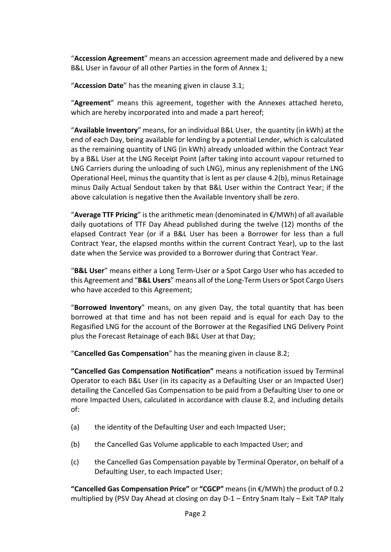"**Accession Agreement**" means an accession agreement made and delivered by a new B&L User in favour of all other Parties in the form of Annex 1;

"**Accession Date**" has the meaning given in clause [3.1;](#page-12-3)

"**Agreement**" means this agreement, together with the Annexes attached hereto, which are hereby incorporated into and made a part hereof;

"**Available Inventory**" means, for an individual B&L User, the quantity (in kWh) at the end of each Day, being available for lending by a potential Lender, which is calculated as the remaining quantity of LNG (in kWh) already unloaded within the Contract Year by a B&L User at the LNG Receipt Point (after taking into account vapour returned to LNG Carriers during the unloading of such LNG), minus any replenishment of the LNG Operational Heel, minus the quantity that is lent as per claus[e 4.2\(b\),](#page-13-4) minus Retainage minus Daily Actual Sendout taken by that B&L User within the Contract Year; if the above calculation is negative then the Available Inventory shall be zero.

"**Average TTF Pricing**" is the arithmetic mean (denominated in €/MWh) of all available daily quotations of TTF Day Ahead published during the twelve (12) months of the elapsed Contract Year (or if a B&L User has been a Borrower for less than a full Contract Year, the elapsed months within the current Contract Year), up to the last date when the Service was provided to a Borrower during that Contract Year.

"**B&L User**" means either a Long Term-User or a Spot Cargo User who has acceded to this Agreement and "**B&L Users**" means all of the Long-Term Users or Spot Cargo Users who have acceded to this Agreement;

"**Borrowed Inventory**" means, on any given Day, the total quantity that has been borrowed at that time and has not been repaid and is equal for each Day to the Regasified LNG for the account of the Borrower at the Regasified LNG Delivery Point plus the Forecast Retainage of each B&L User at that Day;

"**Cancelled Gas Compensation**" has the meaning given in clause [8.2;](#page-26-0)

**"Cancelled Gas Compensation Notification"** means a notification issued by Terminal Operator to each B&L User (in its capacity as a Defaulting User or an Impacted User) detailing the Cancelled Gas Compensation to be paid from a Defaulting User to one or more Impacted Users, calculated in accordance with clause [8.2,](#page-26-0) and including details of:

- (a) the identity of the Defaulting User and each Impacted User;
- (b) the Cancelled Gas Volume applicable to each Impacted User; and
- (c) the Cancelled Gas Compensation payable by Terminal Operator, on behalf of a Defaulting User, to each Impacted User;

**"Cancelled Gas Compensation Price"** or **"CGCP"** means (in €/MWh) the product of 0.2 multiplied by (PSV Day Ahead at closing on day D-1 – Entry Snam Italy – Exit TAP Italy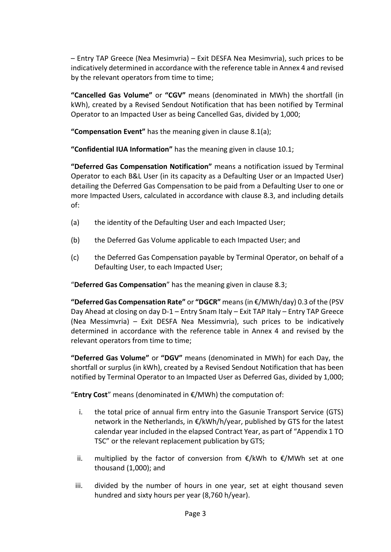– Entry TAP Greece (Nea Mesimvria) – Exit DESFA Nea Mesimvria), such prices to be indicatively determined in accordance with the reference table in Annex 4 and revised by the relevant operators from time to time;

**"Cancelled Gas Volume"** or **"CGV"** means (denominated in MWh) the shortfall (in kWh), created by a Revised Sendout Notification that has been notified by Terminal Operator to an Impacted User as being Cancelled Gas, divided by 1,000;

**"Compensation Event"** has the meaning given in clause [8.1\(a\);](#page-25-3)

**"Confidential IUA Information"** has the meaning given in clause [10.1;](#page-30-1)

**"Deferred Gas Compensation Notification"** means a notification issued by Terminal Operator to each B&L User (in its capacity as a Defaulting User or an Impacted User) detailing the Deferred Gas Compensation to be paid from a Defaulting User to one or more Impacted Users, calculated in accordance with clause [8.3,](#page-26-1) and including details of:

- (a) the identity of the Defaulting User and each Impacted User;
- (b) the Deferred Gas Volume applicable to each Impacted User; and
- (c) the Deferred Gas Compensation payable by Terminal Operator, on behalf of a Defaulting User, to each Impacted User;

"**Deferred Gas Compensation**" has the meaning given in clause [8.3;](#page-26-1)

**"Deferred Gas Compensation Rate"** or **"DGCR"** means (in €/MWh/day) 0.3 of the (PSV Day Ahead at closing on day D-1 – Entry Snam Italy – Exit TAP Italy – Entry TAP Greece (Nea Messimvria) – Exit DESFA Nea Messimvria), such prices to be indicatively determined in accordance with the reference table in Annex 4 and revised by the relevant operators from time to time;

**"Deferred Gas Volume"** or **"DGV"** means (denominated in MWh) for each Day, the shortfall or surplus (in kWh), created by a Revised Sendout Notification that has been notified by Terminal Operator to an Impacted User as Deferred Gas, divided by 1,000;

"**Entry Cost**" means (denominated in €/MWh) the computation of:

- i. the total price of annual firm entry into the Gasunie Transport Service (GTS) network in the Netherlands, in €/kWh/h/year, published by GTS for the latest calendar year included in the elapsed Contract Year, as part of "Appendix 1 TO TSC" or the relevant replacement publication by GTS;
- ii. multiplied by the factor of conversion from  $E/KWh$  to  $E/MWh$  set at one thousand (1,000); and
- iii. divided by the number of hours in one year, set at eight thousand seven hundred and sixty hours per year (8,760 h/year).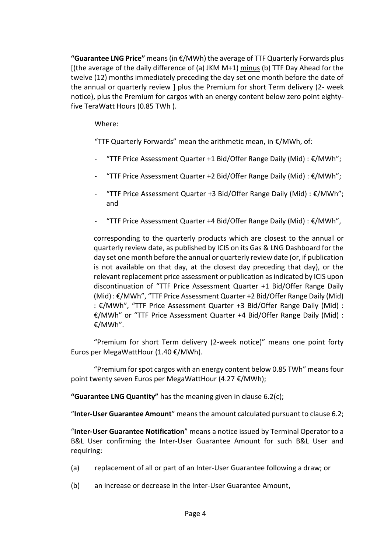**"Guarantee LNG Price"** means (in €/MWh) the average of TTF Quarterly Forwards plus [(the average of the daily difference of (a) JKM M+1) minus (b) TTF Day Ahead for the twelve (12) months immediately preceding the day set one month before the date of the annual or quarterly review ] plus the Premium for short Term delivery (2- week notice), plus the Premium for cargos with an energy content below zero point eightyfive TeraWatt Hours (0.85 TWh ).

Where:

"TTF Quarterly Forwards" mean the arithmetic mean, in €/MWh, of:

- "TTF Price Assessment Quarter +1 Bid/Offer Range Daily (Mid) : €/MWh";
- "TTF Price Assessment Quarter +2 Bid/Offer Range Daily (Mid) : €/MWh";
- "TTF Price Assessment Quarter +3 Bid/Offer Range Daily (Mid) : €/MWh"; and
- "TTF Price Assessment Quarter +4 Bid/Offer Range Daily (Mid) : €/MWh",

corresponding to the quarterly products which are closest to the annual or quarterly review date, as published by ICIS on its Gas & LNG Dashboard for the day set one month before the annual or quarterly review date (or, if publication is not available on that day, at the closest day preceding that day), or the relevant replacement price assessment or publication as indicated by ICIS upon discontinuation of "TTF Price Assessment Quarter +1 Bid/Offer Range Daily (Mid) : €/MWh", "TTF Price Assessment Quarter +2 Bid/Offer Range Daily (Mid) : €/MWh", "TTF Price Assessment Quarter +3 Bid/Offer Range Daily (Mid) : €/MWh" or "TTF Price Assessment Quarter +4 Bid/Offer Range Daily (Mid) : €/MWh".

"Premium for short Term delivery (2-week notice)" means one point forty Euros per MegaWattHour (1.40 €/MWh).

"Premium for spot cargos with an energy content below 0.85 TWh" means four point twenty seven Euros per MegaWattHour (4.27 €/MWh);

**"Guarantee LNG Quantity"** has the meaning given in clause [6.2\(c\);](#page-21-0)

"**Inter-User Guarantee Amount**" means the amount calculated pursuant to clause [6.2;](#page-20-0)

"**Inter-User Guarantee Notification**" means a notice issued by Terminal Operator to a B&L User confirming the Inter-User Guarantee Amount for such B&L User and requiring:

- (a) replacement of all or part of an Inter-User Guarantee following a draw; or
- (b) an increase or decrease in the Inter-User Guarantee Amount,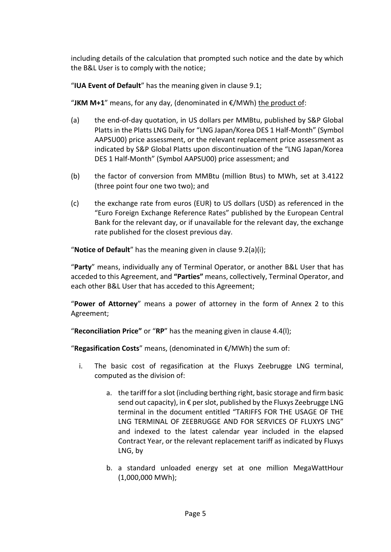including details of the calculation that prompted such notice and the date by which the B&L User is to comply with the notice;

"**IUA Event of Default**" has the meaning given in clause [9.1;](#page-28-1)

"JKM M+1" means, for any day, (denominated in  $\epsilon$ /MWh) the product of:

- (a) the end-of-day quotation, in US dollars per MMBtu, published by S&P Global Platts in the Platts LNG Daily for "LNG Japan/Korea DES 1 Half-Month" (Symbol AAPSU00) price assessment, or the relevant replacement price assessment as indicated by S&P Global Platts upon discontinuation of the "LNG Japan/Korea DES 1 Half-Month" (Symbol AAPSU00) price assessment; and
- (b) the factor of conversion from MMBtu (million Btus) to MWh, set at 3.4122 (three point four one two two); and
- (c) the exchange rate from euros (EUR) to US dollars (USD) as referenced in the "Euro Foreign Exchange Reference Rates" published by the European Central Bank for the relevant day, or if unavailable for the relevant day, the exchange rate published for the closest previous day.

"**Notice of Default**" has the meaning given in clause [9.2\(a\)\(i\);](#page-29-2)

"**Party**" means, individually any of Terminal Operator, or another B&L User that has acceded to this Agreement, and **"Parties"** means, collectively, Terminal Operator, and each other B&L User that has acceded to this Agreement;

"**Power of Attorney**" means a power of attorney in the form of Annex 2 to this Agreement;

"**Reconciliation Price"** or "**RP**" has the meaning given in clause 4.4(l);

"**Regasification Costs**" means, (denominated in €/MWh) the sum of:

- i. The basic cost of regasification at the Fluxys Zeebrugge LNG terminal, computed as the division of:
	- a. the tariff for a slot (including berthing right, basic storage and firm basic send out capacity), in € per slot, published by the Fluxys Zeebrugge LNG terminal in the document entitled "TARIFFS FOR THE USAGE OF THE LNG TERMINAL OF ZEEBRUGGE AND FOR SERVICES OF FLUXYS LNG" and indexed to the latest calendar year included in the elapsed Contract Year, or the relevant replacement tariff as indicated by Fluxys LNG, by
	- b. a standard unloaded energy set at one million MegaWattHour (1,000,000 MWh);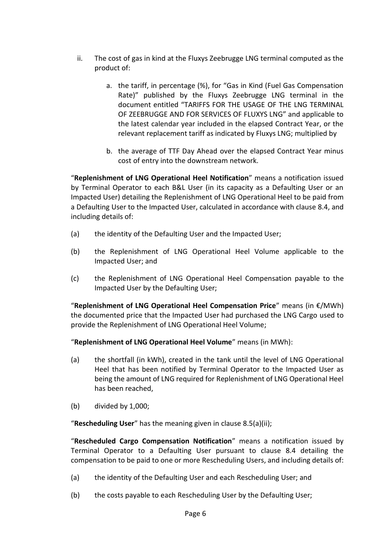- ii. The cost of gas in kind at the Fluxys Zeebrugge LNG terminal computed as the product of:
	- a. the tariff, in percentage (%), for "Gas in Kind (Fuel Gas Compensation Rate)" published by the Fluxys Zeebrugge LNG terminal in the document entitled "TARIFFS FOR THE USAGE OF THE LNG TERMINAL OF ZEEBRUGGE AND FOR SERVICES OF FLUXYS LNG" and applicable to the latest calendar year included in the elapsed Contract Year, or the relevant replacement tariff as indicated by Fluxys LNG; multiplied by
	- b. the average of TTF Day Ahead over the elapsed Contract Year minus cost of entry into the downstream network.

"**Replenishment of LNG Operational Heel Notification**" means a notification issued by Terminal Operator to each B&L User (in its capacity as a Defaulting User or an Impacted User) detailing the Replenishment of LNG Operational Heel to be paid from a Defaulting User to the Impacted User, calculated in accordance with clause [8.4,](#page-27-0) and including details of:

- (a) the identity of the Defaulting User and the Impacted User;
- (b) the Replenishment of LNG Operational Heel Volume applicable to the Impacted User; and
- (c) the Replenishment of LNG Operational Heel Compensation payable to the Impacted User by the Defaulting User;

"**Replenishment of LNG Operational Heel Compensation Price**" means (in €/MWh) the documented price that the Impacted User had purchased the LNG Cargo used to provide the Replenishment of LNG Operational Heel Volume;

"**Replenishment of LNG Operational Heel Volume**" means (in MWh):

- (a) the shortfall (in kWh), created in the tank until the level of LNG Operational Heel that has been notified by Terminal Operator to the Impacted User as being the amount of LNG required for Replenishment of LNG Operational Heel has been reached,
- (b) divided by 1,000;

"**Rescheduling User**" has the meaning given in clause [8.5\(a\)\(ii\);](#page-27-2)

"**Rescheduled Cargo Compensation Notification**" means a notification issued by Terminal Operator to a Defaulting User pursuant to clause [8.4](#page-27-0) detailing the compensation to be paid to one or more Rescheduling Users, and including details of:

- (a) the identity of the Defaulting User and each Rescheduling User; and
- (b) the costs payable to each Rescheduling User by the Defaulting User;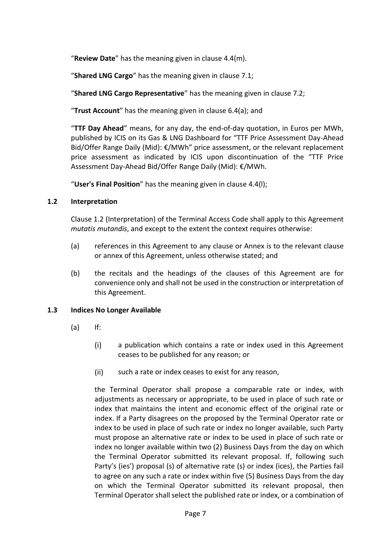"**Review Date**" has the meaning given in clause [4.4\(m\).](#page-16-0)

"**Shared LNG Cargo**" has the meaning given in clause [7.1;](#page-24-1)

"**Shared LNG Cargo Representative**" has the meaning given in clause [7.2;](#page-25-0)

"**Trust Account**" has the meaning given in clause [6.4\(a\);](#page-23-2) and

"**TTF Day Ahead**" means, for any day, the end-of-day quotation, in Euros per MWh, published by ICIS on its Gas & LNG Dashboard for "TTF Price Assessment Day-Ahead Bid/Offer Range Daily (Mid): €/MWh" price assessment, or the relevant replacement price assessment as indicated by ICIS upon discontinuation of the "TTF Price Assessment Day-Ahead Bid/Offer Range Daily (Mid): €/MWh.

"**User's Final Position**" has the meaning given in clause 4.4(l);

# <span id="page-10-0"></span>**1.2 Interpretation**

Clause [1.2](#page-10-0) (Interpretation) of the Terminal Access Code shall apply to this Agreement *mutatis mutandis*, and except to the extent the context requires otherwise:

- (a) references in this Agreement to any clause or Annex is to the relevant clause or annex of this Agreement, unless otherwise stated; and
- (b) the recitals and the headings of the clauses of this Agreement are for convenience only and shall not be used in the construction or interpretation of this Agreement.

# <span id="page-10-1"></span>**1.3 Indices No Longer Available**

- (a) If:
	- $(i)$ a publication which contains a rate or index used in this Agreement ceases to be published for any reason; or
	- $(ii)$ such a rate or index ceases to exist for any reason,

the Terminal Operator shall propose a comparable rate or index, with adjustments as necessary or appropriate, to be used in place of such rate or index that maintains the intent and economic effect of the original rate or index. If a Party disagrees on the proposed by the Terminal Operator rate or index to be used in place of such rate or index no longer available, such Party must propose an alternative rate or index to be used in place of such rate or index no longer available within two (2) Business Days from the day on which the Terminal Operator submitted its relevant proposal. If, following such Party's (ies') proposal (s) of alternative rate (s) or index (ices), the Parties fail to agree on any such a rate or index within five (5) Business Days from the day on which the Terminal Operator submitted its relevant proposal, then Terminal Operator shall select the published rate or index, or a combination of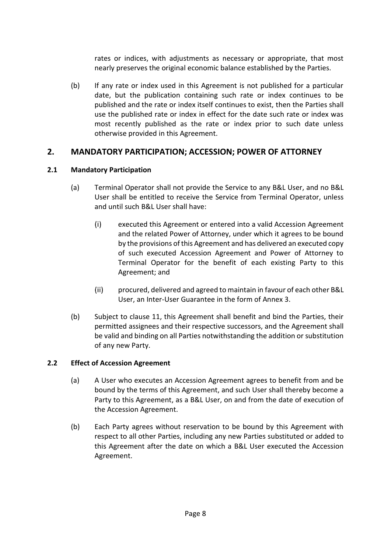rates or indices, with adjustments as necessary or appropriate, that most nearly preserves the original economic balance established by the Parties.

(b) If any rate or index used in this Agreement is not published for a particular date, but the publication containing such rate or index continues to be published and the rate or index itself continues to exist, then the Parties shall use the published rate or index in effect for the date such rate or index was most recently published as the rate or index prior to such date unless otherwise provided in this Agreement.

# <span id="page-11-0"></span>**2. MANDATORY PARTICIPATION; ACCESSION; POWER OF ATTORNEY**

## <span id="page-11-1"></span>**2.1 Mandatory Participation**

- (a) Terminal Operator shall not provide the Service to any B&L User, and no B&L User shall be entitled to receive the Service from Terminal Operator, unless and until such B&L User shall have:
	- $(i)$ executed this Agreement or entered into a valid Accession Agreement and the related Power of Attorney, under which it agrees to be bound by the provisions of this Agreement and has delivered an executed copy of such executed Accession Agreement and Power of Attorney to Terminal Operator for the benefit of each existing Party to this Agreement; and
	- $(ii)$ procured, delivered and agreed to maintain in favour of each other B&L User, an Inter-User Guarantee in the form of Annex 3.
- (b) Subject to clause [11,](#page-32-1) this Agreement shall benefit and bind the Parties, their permitted assignees and their respective successors, and the Agreement shall be valid and binding on all Parties notwithstanding the addition or substitution of any new Party.

## <span id="page-11-2"></span>**2.2 Effect of Accession Agreement**

- (a) A User who executes an Accession Agreement agrees to benefit from and be bound by the terms of this Agreement, and such User shall thereby become a Party to this Agreement, as a B&L User, on and from the date of execution of the Accession Agreement.
- (b) Each Party agrees without reservation to be bound by this Agreement with respect to all other Parties, including any new Parties substituted or added to this Agreement after the date on which a B&L User executed the Accession Agreement.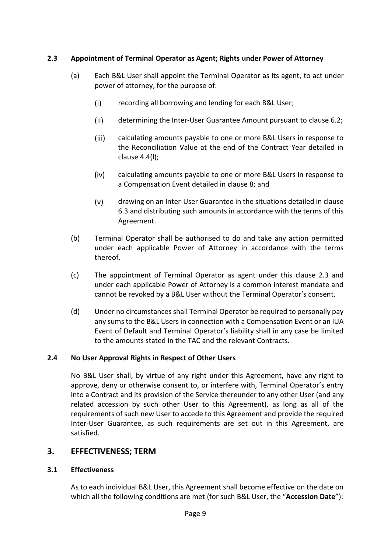# <span id="page-12-4"></span><span id="page-12-0"></span>**2.3 Appointment of Terminal Operator as Agent; Rights under Power of Attorney**

- (a) Each B&L User shall appoint the Terminal Operator as its agent, to act under power of attorney, for the purpose of:
	- $(i)$ recording all borrowing and lending for each B&L User;
	- $(ii)$ determining the Inter-User Guarantee Amount pursuant to clause [6.2;](#page-20-0)
	- $(iii)$ calculating amounts payable to one or more B&L Users in response to the Reconciliation Value at the end of the Contract Year detailed in clause [4.4\(l\);](#page-16-1)
	- $(iv)$ calculating amounts payable to one or more B&L Users in response to a Compensation Event detailed in clause [8;](#page-25-1) and
	- $(v)$ drawing on an Inter-User Guarantee in the situations detailed in clause [6.3](#page-22-0) and distributing such amounts in accordance with the terms of this Agreement.
- (b) Terminal Operator shall be authorised to do and take any action permitted under each applicable Power of Attorney in accordance with the terms thereof.
- (c) The appointment of Terminal Operator as agent under this clause [2.3](#page-12-0) and under each applicable Power of Attorney is a common interest mandate and cannot be revoked by a B&L User without the Terminal Operator's consent.
- (d) Under no circumstances shall Terminal Operator be required to personally pay any sums to the B&L Users in connection with a Compensation Event or an IUA Event of Default and Terminal Operator's liability shall in any case be limited to the amounts stated in the TAC and the relevant Contracts.

## <span id="page-12-1"></span>**2.4 No User Approval Rights in Respect of Other Users**

No B&L User shall, by virtue of any right under this Agreement, have any right to approve, deny or otherwise consent to, or interfere with, Terminal Operator's entry into a Contract and its provision of the Service thereunder to any other User (and any related accession by such other User to this Agreement), as long as all of the requirements of such new User to accede to this Agreement and provide the required Inter-User Guarantee, as such requirements are set out in this Agreement, are satisfied.

# <span id="page-12-2"></span>**3. EFFECTIVENESS; TERM**

## <span id="page-12-3"></span>**3.1 Effectiveness**

As to each individual B&L User, this Agreement shall become effective on the date on which all the following conditions are met (for such B&L User, the "**Accession Date**"):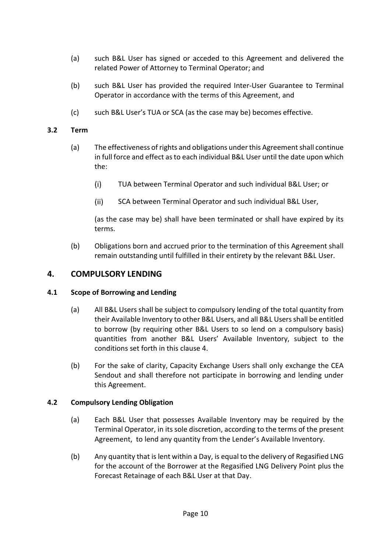- (a) such B&L User has signed or acceded to this Agreement and delivered the related Power of Attorney to Terminal Operator; and
- (b) such B&L User has provided the required Inter-User Guarantee to Terminal Operator in accordance with the terms of this Agreement, and
- (c) such B&L User's TUA or SCA (as the case may be) becomes effective.

## <span id="page-13-0"></span>**3.2 Term**

- (a) The effectiveness of rights and obligations under this Agreement shall continue in full force and effect as to each individual B&L User until the date upon which the:
	- $(i)$ TUA between Terminal Operator and such individual B&L User; or
	- $(ii)$ SCA between Terminal Operator and such individual B&L User,

(as the case may be) shall have been terminated or shall have expired by its terms.

(b) Obligations born and accrued prior to the termination of this Agreement shall remain outstanding until fulfilled in their entirety by the relevant B&L User.

## <span id="page-13-1"></span>**4. COMPULSORY LENDING**

#### <span id="page-13-2"></span>**4.1 Scope of Borrowing and Lending**

- (a) All B&L Users shall be subject to compulsory lending of the total quantity from their Available Inventory to other B&L Users, and all B&L Users shall be entitled to borrow (by requiring other B&L Users to so lend on a compulsory basis) quantities from another B&L Users' Available Inventory, subject to the conditions set forth in this clause [4.](#page-13-1)
- (b) For the sake of clarity, Capacity Exchange Users shall only exchange the CEA Sendout and shall therefore not participate in borrowing and lending under this Agreement.

#### <span id="page-13-3"></span>**4.2 Compulsory Lending Obligation**

- (a) Each B&L User that possesses Available Inventory may be required by the Terminal Operator, in its sole discretion, according to the terms of the present Agreement, to lend any quantity from the Lender's Available Inventory.
- <span id="page-13-4"></span>(b) Any quantity that is lent within a Day, is equal to the delivery of Regasified LNG for the account of the Borrower at the Regasified LNG Delivery Point plus the Forecast Retainage of each B&L User at that Day.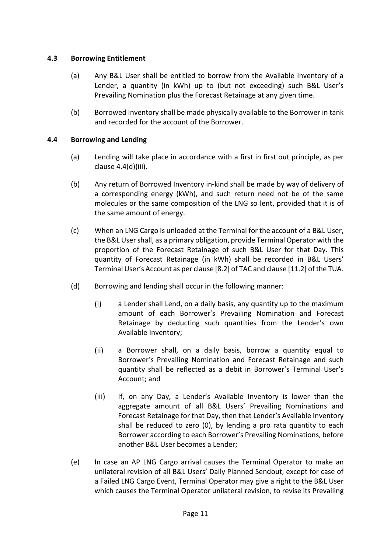#### <span id="page-14-0"></span>**4.3 Borrowing Entitlement**

- (a) Any B&L User shall be entitled to borrow from the Available Inventory of a Lender, a quantity (in kWh) up to (but not exceeding) such B&L User's Prevailing Nomination plus the Forecast Retainage at any given time.
- (b) Borrowed Inventory shall be made physically available to the Borrower in tank and recorded for the account of the Borrower.

#### <span id="page-14-1"></span>**4.4 Borrowing and Lending**

- (a) Lending will take place in accordance with a first in first out principle, as per clause [4.4\(d\)\(iii\).](#page-14-2)
- (b) Any return of Borrowed Inventory in-kind shall be made by way of delivery of a corresponding energy (kWh), and such return need not be of the same molecules or the same composition of the LNG so lent, provided that it is of the same amount of energy.
- (c) When an LNG Cargo is unloaded at the Terminal for the account of a B&L User, the B&L User shall, as a primary obligation, provide Terminal Operator with the proportion of the Forecast Retainage of such B&L User for that Day. This quantity of Forecast Retainage (in kWh) shall be recorded in B&L Users' Terminal User's Account as per clause [8.2] of TAC and clause [11.2] of the TUA.
- (d) Borrowing and lending shall occur in the following manner:
	- $(i)$ a Lender shall Lend, on a daily basis, any quantity up to the maximum amount of each Borrower's Prevailing Nomination and Forecast Retainage by deducting such quantities from the Lender's own Available Inventory;
	- a Borrower shall, on a daily basis, borrow a quantity equal to  $(ii)$ Borrower's Prevailing Nomination and Forecast Retainage and such quantity shall be reflected as a debit in Borrower's Terminal User's Account; and
	- $(iii)$ If, on any Day, a Lender's Available Inventory is lower than the aggregate amount of all B&L Users' Prevailing Nominations and Forecast Retainage for that Day, then that Lender's Available Inventory shall be reduced to zero (0), by lending a pro rata quantity to each Borrower according to each Borrower's Prevailing Nominations, before another B&L User becomes a Lender;
- <span id="page-14-2"></span>(e) In case an AP LNG Cargo arrival causes the Terminal Operator to make an unilateral revision of all B&L Users' Daily Planned Sendout, except for case of a Failed LNG Cargo Event, Terminal Operator may give a right to the B&L User which causes the Terminal Operator unilateral revision, to revise its Prevailing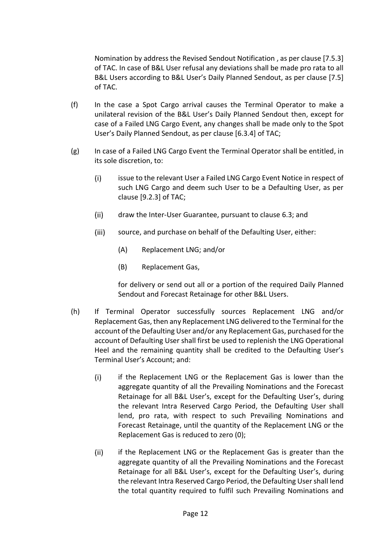Nomination by address the Revised Sendout Notification , as per clause [7.5.3] of TAC. In case of B&L User refusal any deviations shall be made pro rata to all B&L Users according to B&L User's Daily Planned Sendout, as per clause [7.5] of TAC.

- (f) In the case a Spot Cargo arrival causes the Terminal Operator to make a unilateral revision of the B&L User's Daily Planned Sendout then, except for case of a Failed LNG Cargo Event, any changes shall be made only to the Spot User's Daily Planned Sendout, as per clause [6.3.4] of TAC;
- (g) In case of a Failed LNG Cargo Event the Terminal Operator shall be entitled, in its sole discretion, to:
	- $(i)$ issue to the relevant User a Failed LNG Cargo Event Notice in respect of such LNG Cargo and deem such User to be a Defaulting User, as per clause [9.2.3] of TAC;
	- $(ii)$ draw the Inter-User Guarantee, pursuant to clause [6.3;](#page-22-0) and
	- $(iii)$ source, and purchase on behalf of the Defaulting User, either:
		- (A) Replacement LNG; and/or
		- (B) Replacement Gas,

for delivery or send out all or a portion of the required Daily Planned Sendout and Forecast Retainage for other B&L Users.

- (h) If Terminal Operator successfully sources Replacement LNG and/or Replacement Gas, then any Replacement LNG delivered to the Terminal for the account of the Defaulting User and/or any Replacement Gas, purchased for the account of Defaulting User shall first be used to replenish the LNG Operational Heel and the remaining quantity shall be credited to the Defaulting User's Terminal User's Account; and:
	- $(i)$ if the Replacement LNG or the Replacement Gas is lower than the aggregate quantity of all the Prevailing Nominations and the Forecast Retainage for all B&L User's, except for the Defaulting User's, during the relevant Intra Reserved Cargo Period, the Defaulting User shall lend, pro rata, with respect to such Prevailing Nominations and Forecast Retainage, until the quantity of the Replacement LNG or the Replacement Gas is reduced to zero (0);
	- $(ii)$ if the Replacement LNG or the Replacement Gas is greater than the aggregate quantity of all the Prevailing Nominations and the Forecast Retainage for all B&L User's, except for the Defaulting User's, during the relevant Intra Reserved Cargo Period, the Defaulting User shall lend the total quantity required to fulfil such Prevailing Nominations and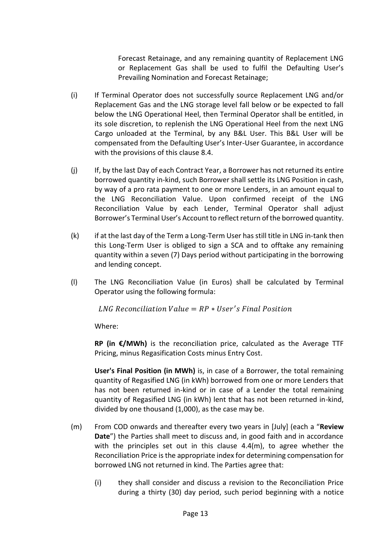Forecast Retainage, and any remaining quantity of Replacement LNG or Replacement Gas shall be used to fulfil the Defaulting User's Prevailing Nomination and Forecast Retainage;

- (i) If Terminal Operator does not successfully source Replacement LNG and/or Replacement Gas and the LNG storage level fall below or be expected to fall below the LNG Operational Heel, then Terminal Operator shall be entitled, in its sole discretion, to replenish the LNG Operational Heel from the next LNG Cargo unloaded at the Terminal, by any B&L User. This B&L User will be compensated from the Defaulting User's Inter-User Guarantee, in accordance with the provisions of this clause 8.4.
- (j) If, by the last Day of each Contract Year, a Borrower has not returned its entire borrowed quantity in-kind, such Borrower shall settle its LNG Position in cash, by way of a pro rata payment to one or more Lenders, in an amount equal to the LNG Reconciliation Value. Upon confirmed receipt of the LNG Reconciliation Value by each Lender, Terminal Operator shall adjust Borrower's Terminal User's Account to reflect return of the borrowed quantity.
- (k) if at the last day of the Term a Long-Term User has still title in LNG in-tank then this Long-Term User is obliged to sign a SCA and to offtake any remaining quantity within a seven (7) Days period without participating in the borrowing and lending concept.
- <span id="page-16-1"></span>(l) The LNG Reconciliation Value (in Euros) shall be calculated by Terminal Operator using the following formula:

 $LNG$  Reconciliation Value =  $RP * User's Final Position$ 

Where:

**RP (in €/MWh)** is the reconciliation price, calculated as the Average TTF Pricing, minus Regasification Costs minus Entry Cost.

**User's Final Position (in MWh)** is, in case of a Borrower, the total remaining quantity of Regasified LNG (in kWh) borrowed from one or more Lenders that has not been returned in-kind or in case of a Lender the total remaining quantity of Regasified LNG (in kWh) lent that has not been returned in-kind, divided by one thousand (1,000), as the case may be.

- <span id="page-16-0"></span>(m) From COD onwards and thereafter every two years in [July] (each a "**Review Date**") the Parties shall meet to discuss and, in good faith and in accordance with the principles set out in this clause  $4.4(m)$ , to agree whether the Reconciliation Price is the appropriate index for determining compensation for borrowed LNG not returned in kind. The Parties agree that:
	- $(i)$ they shall consider and discuss a revision to the Reconciliation Price during a thirty (30) day period, such period beginning with a notice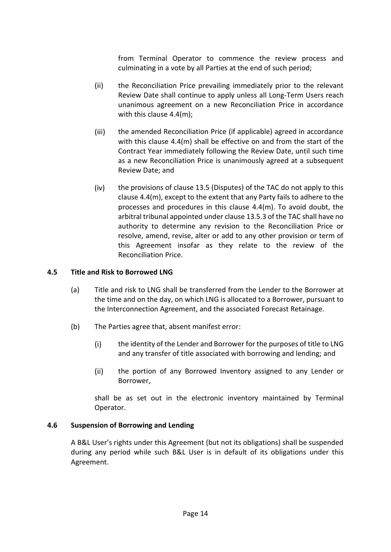from Terminal Operator to commence the review process and culminating in a vote by all Parties at the end of such period;

- $(ii)$ the Reconciliation Price prevailing immediately prior to the relevant Review Date shall continue to apply unless all Long-Term Users reach unanimous agreement on a new Reconciliation Price in accordance with this clause [4.4\(m\);](#page-16-0)
- $(iii)$ the amended Reconciliation Price (if applicable) agreed in accordance with this clause [4.4\(m\)](#page-16-0) shall be effective on and from the start of the Contract Year immediately following the Review Date, until such time as a new Reconciliation Price is unanimously agreed at a subsequent Review Date; and
- $(iv)$ the provisions of clause 13.5 (Disputes) of the TAC do not apply to this clause [4.4\(m\),](#page-16-0) except to the extent that any Party fails to adhere to the processes and procedures in this clause [4.4\(m\).](#page-16-0) To avoid doubt, the arbitral tribunal appointed under clause 13.5.3 of the TAC shall have no authority to determine any revision to the Reconciliation Price or resolve, amend, revise, alter or add to any other provision or term of this Agreement insofar as they relate to the review of the Reconciliation Price.

#### <span id="page-17-0"></span>**4.5 Title and Risk to Borrowed LNG**

- (a) Title and risk to LNG shall be transferred from the Lender to the Borrower at the time and on the day, on which LNG is allocated to a Borrower, pursuant to the Interconnection Agreement, and the associated Forecast Retainage.
- (b) The Parties agree that, absent manifest error:
	- $(i)$ the identity of the Lender and Borrower for the purposes of title to LNG and any transfer of title associated with borrowing and lending; and
	- $(ii)$ the portion of any Borrowed Inventory assigned to any Lender or Borrower,

shall be as set out in the electronic inventory maintained by Terminal Operator.

## <span id="page-17-1"></span>**4.6 Suspension of Borrowing and Lending**

A B&L User's rights under this Agreement (but not its obligations) shall be suspended during any period while such B&L User is in default of its obligations under this Agreement.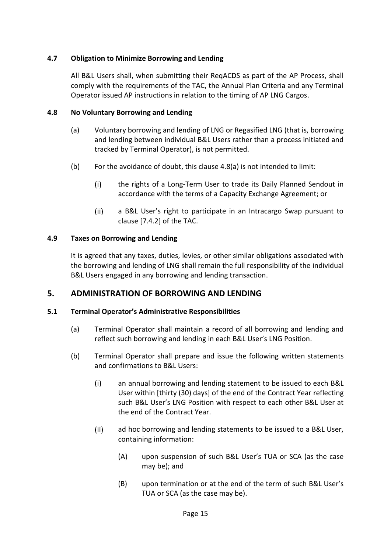## <span id="page-18-0"></span>**4.7 Obligation to Minimize Borrowing and Lending**

All B&L Users shall, when submitting their ReqACDS as part of the AP Process, shall comply with the requirements of the TAC, the Annual Plan Criteria and any Terminal Operator issued AP instructions in relation to the timing of AP LNG Cargos.

## <span id="page-18-5"></span><span id="page-18-1"></span>**4.8 No Voluntary Borrowing and Lending**

- (a) Voluntary borrowing and lending of LNG or Regasified LNG (that is, borrowing and lending between individual B&L Users rather than a process initiated and tracked by Terminal Operator), is not permitted.
- (b) For the avoidance of doubt, this clause [4.8\(a\)](#page-18-5) is not intended to limit:
	- $(i)$ the rights of a Long-Term User to trade its Daily Planned Sendout in accordance with the terms of a Capacity Exchange Agreement; or
	- $(ii)$ a B&L User's right to participate in an Intracargo Swap pursuant to clause [7.4.2] of the TAC.

# <span id="page-18-2"></span>**4.9 Taxes on Borrowing and Lending**

It is agreed that any taxes, duties, levies, or other similar obligations associated with the borrowing and lending of LNG shall remain the full responsibility of the individual B&L Users engaged in any borrowing and lending transaction.

# <span id="page-18-3"></span>**5. ADMINISTRATION OF BORROWING AND LENDING**

## <span id="page-18-4"></span>**5.1 Terminal Operator's Administrative Responsibilities**

- (a) Terminal Operator shall maintain a record of all borrowing and lending and reflect such borrowing and lending in each B&L User's LNG Position.
- (b) Terminal Operator shall prepare and issue the following written statements and confirmations to B&L Users:
	- $(i)$ an annual borrowing and lending statement to be issued to each B&L User within [thirty (30) days] of the end of the Contract Year reflecting such B&L User's LNG Position with respect to each other B&L User at the end of the Contract Year.
	- $(ii)$ ad hoc borrowing and lending statements to be issued to a B&L User, containing information:
		- (A) upon suspension of such B&L User's TUA or SCA (as the case may be); and
		- (B) upon termination or at the end of the term of such B&L User's TUA or SCA (as the case may be).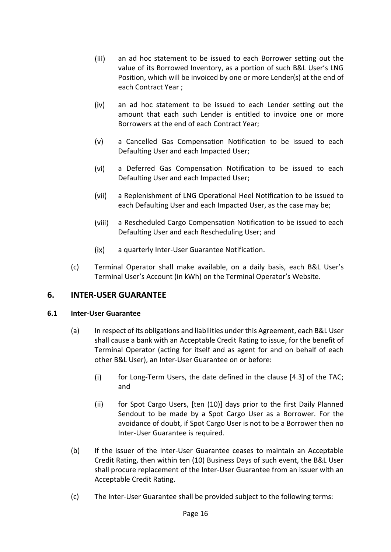- $(iii)$ an ad hoc statement to be issued to each Borrower setting out the value of its Borrowed Inventory, as a portion of such B&L User's LNG Position, which will be invoiced by one or more Lender(s) at the end of each Contract Year ;
- $(iv)$ an ad hoc statement to be issued to each Lender setting out the amount that each such Lender is entitled to invoice one or more Borrowers at the end of each Contract Year;
- $(v)$ a Cancelled Gas Compensation Notification to be issued to each Defaulting User and each Impacted User;
- $(vi)$ a Deferred Gas Compensation Notification to be issued to each Defaulting User and each Impacted User;
- $(vii)$ a Replenishment of LNG Operational Heel Notification to be issued to each Defaulting User and each Impacted User, as the case may be;
- $(viii)$ a Rescheduled Cargo Compensation Notification to be issued to each Defaulting User and each Rescheduling User; and
- $(ix)$ a quarterly Inter-User Guarantee Notification.
- (c) Terminal Operator shall make available, on a daily basis, each B&L User's Terminal User's Account (in kWh) on the Terminal Operator's Website.

# <span id="page-19-0"></span>**6. INTER-USER GUARANTEE**

## <span id="page-19-1"></span>**6.1 Inter-User Guarantee**

- (a) In respect of its obligations and liabilities under this Agreement, each B&L User shall cause a bank with an Acceptable Credit Rating to issue, for the benefit of Terminal Operator (acting for itself and as agent for and on behalf of each other B&L User), an Inter-User Guarantee on or before:
	- for Long-Term Users, the date defined in the clause [4.3] of the TAC;  $(i)$ and
	- $(ii)$ for Spot Cargo Users, [ten (10)] days prior to the first Daily Planned Sendout to be made by a Spot Cargo User as a Borrower. For the avoidance of doubt, if Spot Cargo User is not to be a Borrower then no Inter-User Guarantee is required.
- (b) If the issuer of the Inter-User Guarantee ceases to maintain an Acceptable Credit Rating, then within ten (10) Business Days of such event, the B&L User shall procure replacement of the Inter-User Guarantee from an issuer with an Acceptable Credit Rating.
- (c) The Inter-User Guarantee shall be provided subject to the following terms: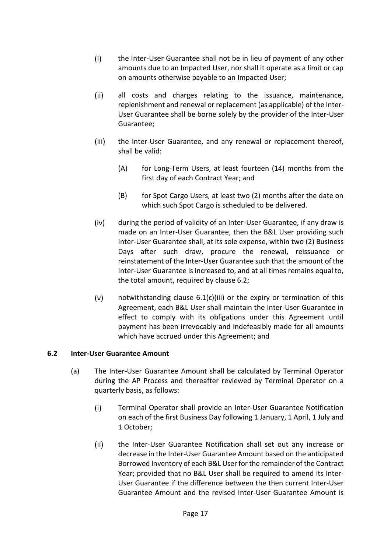- $(i)$ the Inter-User Guarantee shall not be in lieu of payment of any other amounts due to an Impacted User, nor shall it operate as a limit or cap on amounts otherwise payable to an Impacted User;
- $(ii)$ all costs and charges relating to the issuance, maintenance, replenishment and renewal or replacement (as applicable) of the Inter-User Guarantee shall be borne solely by the provider of the Inter-User Guarantee;
- <span id="page-20-1"></span> $(iii)$ the Inter-User Guarantee, and any renewal or replacement thereof, shall be valid:
	- (A) for Long-Term Users, at least fourteen (14) months from the first day of each Contract Year; and
	- (B) for Spot Cargo Users, at least two (2) months after the date on which such Spot Cargo is scheduled to be delivered.
- $(iv)$ during the period of validity of an Inter-User Guarantee, if any draw is made on an Inter-User Guarantee, then the B&L User providing such Inter-User Guarantee shall, at its sole expense, within two (2) Business Days after such draw, procure the renewal, reissuance or reinstatement of the Inter-User Guarantee such that the amount of the Inter-User Guarantee is increased to, and at all times remains equal to, the total amount, required by clause [6.2;](#page-20-0)
- $(v)$ notwithstanding clause [6.1\(c\)\(iii\)](#page-20-1) or the expiry or termination of this Agreement, each B&L User shall maintain the Inter-User Guarantee in effect to comply with its obligations under this Agreement until payment has been irrevocably and indefeasibly made for all amounts which have accrued under this Agreement; and

## <span id="page-20-2"></span><span id="page-20-0"></span>**6.2 Inter-User Guarantee Amount**

- (a) The Inter-User Guarantee Amount shall be calculated by Terminal Operator during the AP Process and thereafter reviewed by Terminal Operator on a quarterly basis, as follows:
	- $(i)$ Terminal Operator shall provide an Inter-User Guarantee Notification on each of the first Business Day following 1 January, 1 April, 1 July and 1 October;
	- $(ii)$ the Inter-User Guarantee Notification shall set out any increase or decrease in the Inter-User Guarantee Amount based on the anticipated Borrowed Inventory of each B&L User for the remainder of the Contract Year; provided that no B&L User shall be required to amend its Inter-User Guarantee if the difference between the then current Inter-User Guarantee Amount and the revised Inter-User Guarantee Amount is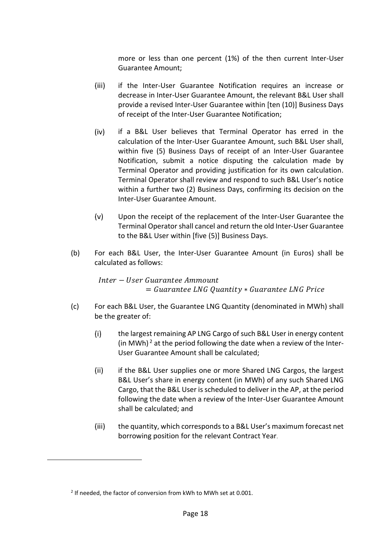more or less than one percent (1%) of the then current Inter-User Guarantee Amount;

- $(iii)$ if the Inter-User Guarantee Notification requires an increase or decrease in Inter-User Guarantee Amount, the relevant B&L User shall provide a revised Inter-User Guarantee within [ten (10)] Business Days of receipt of the Inter-User Guarantee Notification;
- $(iv)$ if a B&L User believes that Terminal Operator has erred in the calculation of the Inter-User Guarantee Amount, such B&L User shall, within five (5) Business Days of receipt of an Inter-User Guarantee Notification, submit a notice disputing the calculation made by Terminal Operator and providing justification for its own calculation. Terminal Operator shall review and respond to such B&L User's notice within a further two (2) Business Days, confirming its decision on the Inter-User Guarantee Amount.
- $(v)$ Upon the receipt of the replacement of the Inter-User Guarantee the Terminal Operator shall cancel and return the old Inter-User Guarantee to the B&L User within [five (5)] Business Days.
- (b) For each B&L User, the Inter-User Guarantee Amount (in Euros) shall be calculated as follows:

*Inter* − *User Guarantee Ammount*  $=$  Guarantee LNG Quantity  $*$  Guarantee LNG Price

- <span id="page-21-0"></span>(c) For each B&L User, the Guarantee LNG Quantity (denominated in MWh) shall be the greater of:
	- $(i)$ the largest remaining AP LNG Cargo of such B&L User in energy content (in MWh)<sup>2</sup> at the period following the date when a review of the Inter-User Guarantee Amount shall be calculated;
	- $(ii)$ if the B&L User supplies one or more Shared LNG Cargos, the largest B&L User's share in energy content (in MWh) of any such Shared LNG Cargo, that the B&L User is scheduled to deliver in the AP, at the period following the date when a review of the Inter-User Guarantee Amount shall be calculated; and
	- $(iii)$ the quantity, which corresponds to a B&L User's maximum forecast net borrowing position for the relevant Contract Year.

<span id="page-21-1"></span> $2$  If needed, the factor of conversion from kWh to MWh set at 0.001.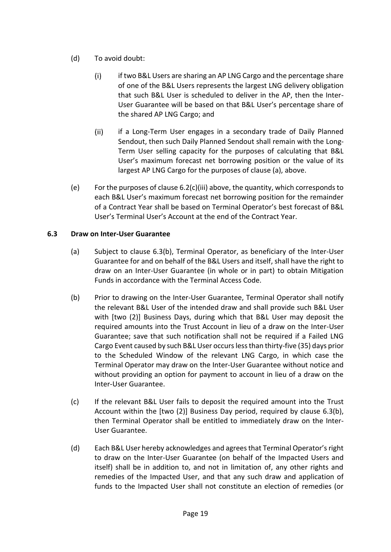- (d) To avoid doubt:
	- $(i)$ if two B&L Users are sharing an AP LNG Cargo and the percentage share of one of the B&L Users represents the largest LNG delivery obligation that such B&L User is scheduled to deliver in the AP, then the Inter-User Guarantee will be based on that B&L User's percentage share of the shared AP LNG Cargo; and
	- $(ii)$ if a Long-Term User engages in a secondary trade of Daily Planned Sendout, then such Daily Planned Sendout shall remain with the Long-Term User selling capacity for the purposes of calculating that B&L User's maximum forecast net borrowing position or the value of its largest AP LNG Cargo for the purposes of clause [\(a\),](#page-20-2) above.
- (e) For the purposes of clause  $6.2(c)$ (iii) above, the quantity, which corresponds to each B&L User's maximum forecast net borrowing position for the remainder of a Contract Year shall be based on Terminal Operator's best forecast of B&L User's Terminal User's Account at the end of the Contract Year.

## <span id="page-22-0"></span>**6.3 Draw on Inter-User Guarantee**

- (a) Subject to clause [6.3](#page-22-0)[\(b\),](#page-22-1) Terminal Operator, as beneficiary of the Inter-User Guarantee for and on behalf of the B&L Users and itself, shall have the right to draw on an Inter-User Guarantee (in whole or in part) to obtain Mitigation Funds in accordance with the Terminal Access Code.
- <span id="page-22-1"></span>(b) Prior to drawing on the Inter-User Guarantee, Terminal Operator shall notify the relevant B&L User of the intended draw and shall provide such B&L User with [two (2)] Business Days, during which that B&L User may deposit the required amounts into the Trust Account in lieu of a draw on the Inter-User Guarantee; save that such notification shall not be required if a Failed LNG Cargo Event caused by such B&L User occurs less than thirty-five (35) days prior to the Scheduled Window of the relevant LNG Cargo, in which case the Terminal Operator may draw on the Inter-User Guarantee without notice and without providing an option for payment to account in lieu of a draw on the Inter-User Guarantee.
- (c) If the relevant B&L User fails to deposit the required amount into the Trust Account within the [two (2)] Business Day period, required by clause [6.3\(b\),](#page-22-1) then Terminal Operator shall be entitled to immediately draw on the Inter-User Guarantee.
- (d) Each B&L User hereby acknowledges and agrees that Terminal Operator's right to draw on the Inter-User Guarantee (on behalf of the Impacted Users and itself) shall be in addition to, and not in limitation of, any other rights and remedies of the Impacted User, and that any such draw and application of funds to the Impacted User shall not constitute an election of remedies (or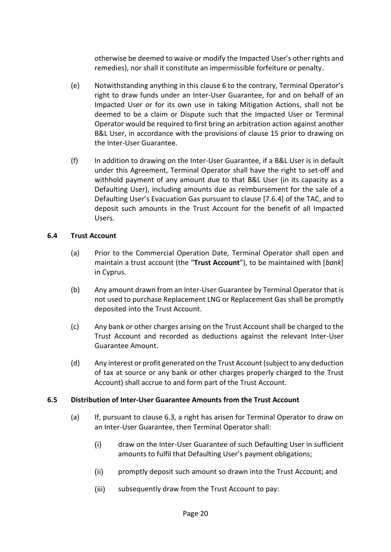otherwise be deemed to waive or modify the Impacted User's other rights and remedies), nor shall it constitute an impermissible forfeiture or penalty.

- (e) Notwithstanding anything in this clause [6](#page-19-0) to the contrary, Terminal Operator's right to draw funds under an Inter-User Guarantee, for and on behalf of an Impacted User or for its own use in taking Mitigation Actions, shall not be deemed to be a claim or Dispute such that the Impacted User or Terminal Operator would be required to first bring an arbitration action against another B&L User, in accordance with the provisions of clause [15](#page-33-4) prior to drawing on the Inter-User Guarantee.
- (f) In addition to drawing on the Inter-User Guarantee, if a B&L User is in default under this Agreement, Terminal Operator shall have the right to set-off and withhold payment of any amount due to that B&L User (in its capacity as a Defaulting User), including amounts due as reimbursement for the sale of a Defaulting User's Evacuation Gas pursuant to clause [7.6.4] of the TAC, and to deposit such amounts in the Trust Account for the benefit of all Impacted Users.

#### <span id="page-23-2"></span><span id="page-23-0"></span>**6.4 Trust Account**

- (a) Prior to the Commercial Operation Date, Terminal Operator shall open and maintain a trust account (the "**Trust Account**"), to be maintained with [*bank*] in Cyprus.
- (b) Any amount drawn from an Inter-User Guarantee by Terminal Operator that is not used to purchase Replacement LNG or Replacement Gas shall be promptly deposited into the Trust Account.
- (c) Any bank or other charges arising on the Trust Account shall be charged to the Trust Account and recorded as deductions against the relevant Inter-User Guarantee Amount.
- (d) Any interest or profit generated on the Trust Account (subject to any deduction of tax at source or any bank or other charges properly charged to the Trust Account) shall accrue to and form part of the Trust Account.

## <span id="page-23-1"></span>**6.5 Distribution of Inter-User Guarantee Amounts from the Trust Account**

- (a) If, pursuant to clause [6.3,](#page-22-0) a right has arisen for Terminal Operator to draw on an Inter-User Guarantee, then Terminal Operator shall:
	- $(i)$ draw on the Inter-User Guarantee of such Defaulting User in sufficient amounts to fulfil that Defaulting User's payment obligations;
	- $(ii)$ promptly deposit such amount so drawn into the Trust Account; and
	- $(iii)$ subsequently draw from the Trust Account to pay: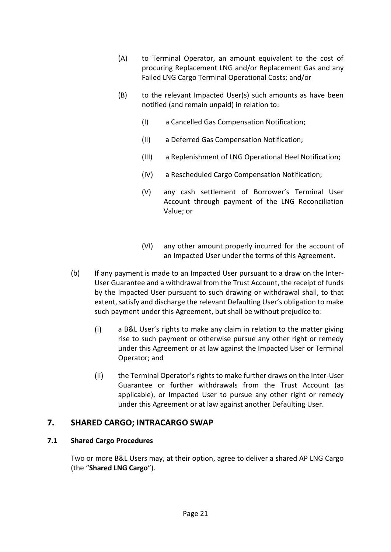- (A) to Terminal Operator, an amount equivalent to the cost of procuring Replacement LNG and/or Replacement Gas and any Failed LNG Cargo Terminal Operational Costs; and/or
- (B) to the relevant Impacted User(s) such amounts as have been notified (and remain unpaid) in relation to:
	- (I) a Cancelled Gas Compensation Notification;
	- (II) a Deferred Gas Compensation Notification;
	- (III) a Replenishment of LNG Operational Heel Notification;
	- (IV) a Rescheduled Cargo Compensation Notification;
	- (V) any cash settlement of Borrower's Terminal User Account through payment of the LNG Reconciliation Value; or
	- (VI) any other amount properly incurred for the account of an Impacted User under the terms of this Agreement.
- (b) If any payment is made to an Impacted User pursuant to a draw on the Inter-User Guarantee and a withdrawal from the Trust Account, the receipt of funds by the Impacted User pursuant to such drawing or withdrawal shall, to that extent, satisfy and discharge the relevant Defaulting User's obligation to make such payment under this Agreement, but shall be without prejudice to:
	- $(i)$ a B&L User's rights to make any claim in relation to the matter giving rise to such payment or otherwise pursue any other right or remedy under this Agreement or at law against the Impacted User or Terminal Operator; and
	- $(ii)$ the Terminal Operator's rights to make further draws on the Inter-User Guarantee or further withdrawals from the Trust Account (as applicable), or Impacted User to pursue any other right or remedy under this Agreement or at law against another Defaulting User.

# <span id="page-24-0"></span>**7. SHARED CARGO; INTRACARGO SWAP**

## <span id="page-24-1"></span>**7.1 Shared Cargo Procedures**

Two or more B&L Users may, at their option, agree to deliver a shared AP LNG Cargo (the "**Shared LNG Cargo**").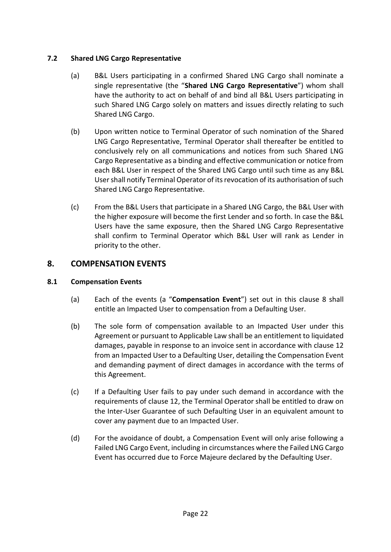# <span id="page-25-0"></span>**7.2 Shared LNG Cargo Representative**

- (a) B&L Users participating in a confirmed Shared LNG Cargo shall nominate a single representative (the "**Shared LNG Cargo Representative**") whom shall have the authority to act on behalf of and bind all B&L Users participating in such Shared LNG Cargo solely on matters and issues directly relating to such Shared LNG Cargo.
- (b) Upon written notice to Terminal Operator of such nomination of the Shared LNG Cargo Representative, Terminal Operator shall thereafter be entitled to conclusively rely on all communications and notices from such Shared LNG Cargo Representative as a binding and effective communication or notice from each B&L User in respect of the Shared LNG Cargo until such time as any B&L User shall notify Terminal Operator of its revocation of its authorisation of such Shared LNG Cargo Representative.
- (c) From the B&L Users that participate in a Shared LNG Cargo, the B&L User with the higher exposure will become the first Lender and so forth. In case the B&L Users have the same exposure, then the Shared LNG Cargo Representative shall confirm to Terminal Operator which B&L User will rank as Lender in priority to the other.

# <span id="page-25-1"></span>**8. COMPENSATION EVENTS**

## <span id="page-25-3"></span><span id="page-25-2"></span>**8.1 Compensation Events**

- (a) Each of the events (a "**Compensation Event**") set out in this clause [8](#page-25-1) shall entitle an Impacted User to compensation from a Defaulting User.
- (b) The sole form of compensation available to an Impacted User under this Agreement or pursuant to Applicable Law shall be an entitlement to liquidated damages, payable in response to an invoice sent in accordance with clause [12](#page-32-4) from an Impacted User to a Defaulting User, detailing the Compensation Event and demanding payment of direct damages in accordance with the terms of this Agreement.
- (c) If a Defaulting User fails to pay under such demand in accordance with the requirements of clause [12,](#page-32-4) the Terminal Operator shall be entitled to draw on the Inter-User Guarantee of such Defaulting User in an equivalent amount to cover any payment due to an Impacted User.
- (d) For the avoidance of doubt, a Compensation Event will only arise following a Failed LNG Cargo Event, including in circumstances where the Failed LNG Cargo Event has occurred due to Force Majeure declared by the Defaulting User.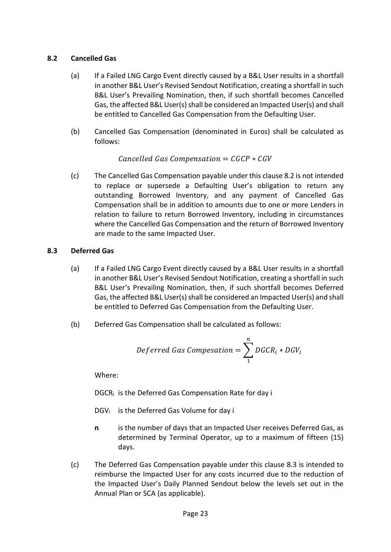# <span id="page-26-0"></span>**8.2 Cancelled Gas**

- (a) If a Failed LNG Cargo Event directly caused by a B&L User results in a shortfall in another B&L User's Revised Sendout Notification, creating a shortfall in such B&L User's Prevailing Nomination, then, if such shortfall becomes Cancelled Gas, the affected B&L User(s) shall be considered an Impacted User(s) and shall be entitled to Cancelled Gas Compensation from the Defaulting User.
- (b) Cancelled Gas Compensation (denominated in Euros) shall be calculated as follows:

Cancelled Gas Compensation =  $CGCP * CGV$ 

(c) The Cancelled Gas Compensation payable under this clause [8.2](#page-26-0) is not intended to replace or supersede a Defaulting User's obligation to return any outstanding Borrowed Inventory, and any payment of Cancelled Gas Compensation shall be in addition to amounts due to one or more Lenders in relation to failure to return Borrowed Inventory, including in circumstances where the Cancelled Gas Compensation and the return of Borrowed Inventory are made to the same Impacted User.

## <span id="page-26-1"></span>**8.3 Deferred Gas**

- (a) If a Failed LNG Cargo Event directly caused by a B&L User results in a shortfall in another B&L User's Revised Sendout Notification, creating a shortfall in such B&L User's Prevailing Nomination, then, if such shortfall becomes Deferred Gas, the affected B&L User(s) shall be considered an Impacted User(s) and shall be entitled to Deferred Gas Compensation from the Defaulting User.
- (b) Deferred Gas Compensation shall be calculated as follows:

$$
Deferred \ Gas \, Composition = \sum_{1}^{n} DGCR_i * DGV_i
$$

Where:

DGCR<sup>i</sup> is the Deferred Gas Compensation Rate for day i

- DGV<sub>i</sub> is the Deferred Gas Volume for day i
- **n** is the number of days that an Impacted User receives Deferred Gas, as determined by Terminal Operator, up to a maximum of fifteen (15) days.
- (c) The Deferred Gas Compensation payable under this clause [8.3](#page-26-1) is intended to reimburse the Impacted User for any costs incurred due to the reduction of the Impacted User's Daily Planned Sendout below the levels set out in the Annual Plan or SCA (as applicable).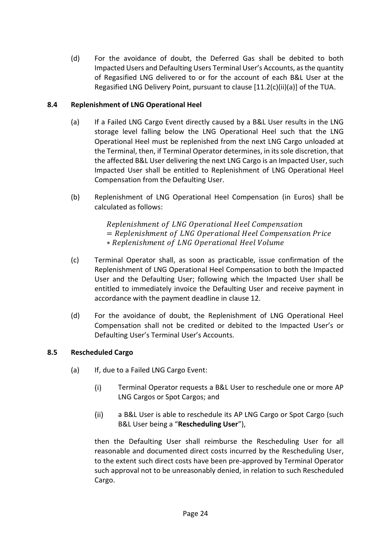(d) For the avoidance of doubt, the Deferred Gas shall be debited to both Impacted Users and Defaulting Users Terminal User's Accounts, as the quantity of Regasified LNG delivered to or for the account of each B&L User at the Regasified LNG Delivery Point, pursuant to clause [11.2(c)(ii)(a)] of the TUA.

# <span id="page-27-0"></span>**8.4 Replenishment of LNG Operational Heel**

- (a) If a Failed LNG Cargo Event directly caused by a B&L User results in the LNG storage level falling below the LNG Operational Heel such that the LNG Operational Heel must be replenished from the next LNG Cargo unloaded at the Terminal, then, if Terminal Operator determines, in its sole discretion, that the affected B&L User delivering the next LNG Cargo is an Impacted User, such Impacted User shall be entitled to Replenishment of LNG Operational Heel Compensation from the Defaulting User.
- (b) Replenishment of LNG Operational Heel Compensation (in Euros) shall be calculated as follows:

Replenishment of LNG Operational Heel Compensation = Replenishment of LNG Operational Heel Compensation Price ∗ Replenishment of LNG Operational Heel Volume

- (c) Terminal Operator shall, as soon as practicable, issue confirmation of the Replenishment of LNG Operational Heel Compensation to both the Impacted User and the Defaulting User; following which the Impacted User shall be entitled to immediately invoice the Defaulting User and receive payment in accordance with the payment deadline in clause [12.](#page-32-4)
- (d) For the avoidance of doubt, the Replenishment of LNG Operational Heel Compensation shall not be credited or debited to the Impacted User's or Defaulting User's Terminal User's Accounts.

## <span id="page-27-3"></span><span id="page-27-1"></span>**8.5 Rescheduled Cargo**

- <span id="page-27-2"></span>(a) If, due to a Failed LNG Cargo Event:
	- $(i)$ Terminal Operator requests a B&L User to reschedule one or more AP LNG Cargos or Spot Cargos; and
	- $(ii)$ a B&L User is able to reschedule its AP LNG Cargo or Spot Cargo (such B&L User being a "**Rescheduling User**"),

then the Defaulting User shall reimburse the Rescheduling User for all reasonable and documented direct costs incurred by the Rescheduling User, to the extent such direct costs have been pre-approved by Terminal Operator such approval not to be unreasonably denied, in relation to such Rescheduled Cargo.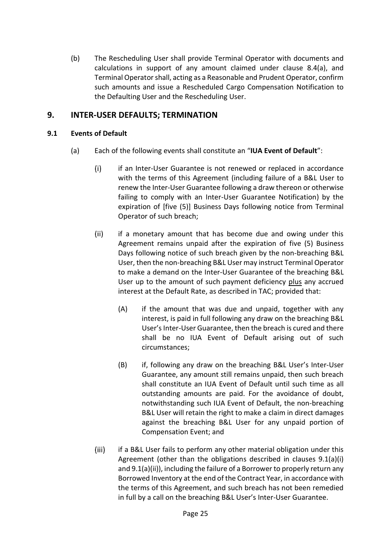(b) The Rescheduling User shall provide Terminal Operator with documents and calculations in support of any amount claimed under clause [8.4](#page-27-0)[\(a\),](#page-27-3) and Terminal Operator shall, acting as a Reasonable and Prudent Operator, confirm such amounts and issue a Rescheduled Cargo Compensation Notification to the Defaulting User and the Rescheduling User.

# <span id="page-28-0"></span>**9. INTER-USER DEFAULTS; TERMINATION**

# <span id="page-28-1"></span>**9.1 Events of Default**

- <span id="page-28-4"></span><span id="page-28-3"></span><span id="page-28-2"></span>(a) Each of the following events shall constitute an "**IUA Event of Default**":
	- $(i)$ if an Inter-User Guarantee is not renewed or replaced in accordance with the terms of this Agreement (including failure of a B&L User to renew the Inter-User Guarantee following a draw thereon or otherwise failing to comply with an Inter-User Guarantee Notification) by the expiration of [five (5)] Business Days following notice from Terminal Operator of such breach;
	- $(ii)$ if a monetary amount that has become due and owing under this Agreement remains unpaid after the expiration of five (5) Business Days following notice of such breach given by the non-breaching B&L User, then the non-breaching B&L User may instruct Terminal Operator to make a demand on the Inter-User Guarantee of the breaching B&L User up to the amount of such payment deficiency plus any accrued interest at the Default Rate, as described in TAC; provided that:
		- (A) if the amount that was due and unpaid, together with any interest, is paid in full following any draw on the breaching B&L User's Inter-User Guarantee, then the breach is cured and there shall be no IUA Event of Default arising out of such circumstances;
		- (B) if, following any draw on the breaching B&L User's Inter-User Guarantee, any amount still remains unpaid, then such breach shall constitute an IUA Event of Default until such time as all outstanding amounts are paid. For the avoidance of doubt, notwithstanding such IUA Event of Default, the non-breaching B&L User will retain the right to make a claim in direct damages against the breaching B&L User for any unpaid portion of Compensation Event; and
	- $(iii)$ if a B&L User fails to perform any other material obligation under this Agreement (other than the obligations described in clauses [9.1\(a\)\(i\)](#page-28-2) an[d 9.1\(a\)\(ii\)\)](#page-28-3), including the failure of a Borrower to properly return any Borrowed Inventory at the end of the Contract Year, in accordance with the terms of this Agreement, and such breach has not been remedied in full by a call on the breaching B&L User's Inter-User Guarantee.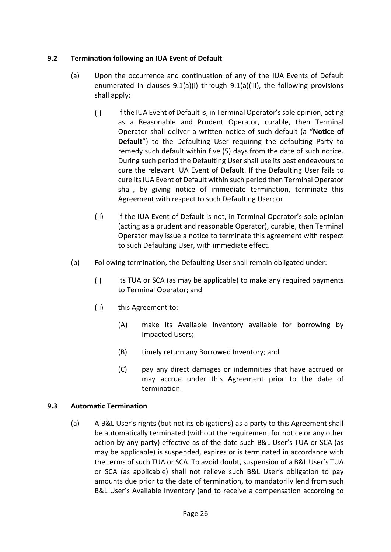# <span id="page-29-0"></span>**9.2 Termination following an IUA Event of Default**

- <span id="page-29-2"></span>(a) Upon the occurrence and continuation of any of the IUA Events of Default enumerated in clauses [9.1\(a\)\(i\)](#page-28-2) through [9.1\(a\)\(iii\),](#page-28-4) the following provisions shall apply:
	- $(i)$ if the IUA Event of Default is, in Terminal Operator's sole opinion, acting as a Reasonable and Prudent Operator, curable, then Terminal Operator shall deliver a written notice of such default (a "**Notice of Default**") to the Defaulting User requiring the defaulting Party to remedy such default within five (5) days from the date of such notice. During such period the Defaulting User shall use its best endeavours to cure the relevant IUA Event of Default. If the Defaulting User fails to cure its IUA Event of Default within such period then Terminal Operator shall, by giving notice of immediate termination, terminate this Agreement with respect to such Defaulting User; or
	- $(ii)$ if the IUA Event of Default is not, in Terminal Operator's sole opinion (acting as a prudent and reasonable Operator), curable, then Terminal Operator may issue a notice to terminate this agreement with respect to such Defaulting User, with immediate effect.
- (b) Following termination, the Defaulting User shall remain obligated under:
	- $(i)$ its TUA or SCA (as may be applicable) to make any required payments to Terminal Operator; and
	- $(ii)$ this Agreement to:
		- (A) make its Available Inventory available for borrowing by Impacted Users;
		- (B) timely return any Borrowed Inventory; and
		- (C) pay any direct damages or indemnities that have accrued or may accrue under this Agreement prior to the date of termination.

## <span id="page-29-1"></span>**9.3 Automatic Termination**

(a) A B&L User's rights (but not its obligations) as a party to this Agreement shall be automatically terminated (without the requirement for notice or any other action by any party) effective as of the date such B&L User's TUA or SCA (as may be applicable) is suspended, expires or is terminated in accordance with the terms of such TUA or SCA. To avoid doubt, suspension of a B&L User's TUA or SCA (as applicable) shall not relieve such B&L User's obligation to pay amounts due prior to the date of termination, to mandatorily lend from such B&L User's Available Inventory (and to receive a compensation according to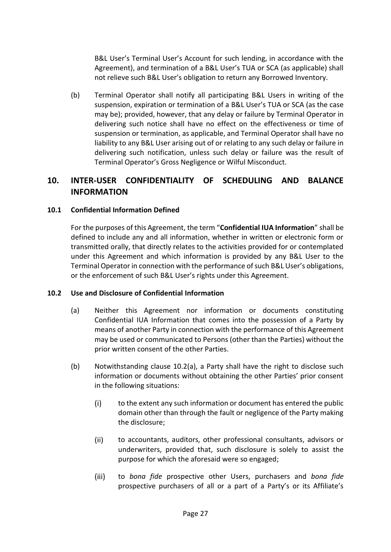B&L User's Terminal User's Account for such lending, in accordance with the Agreement), and termination of a B&L User's TUA or SCA (as applicable) shall not relieve such B&L User's obligation to return any Borrowed Inventory.

(b) Terminal Operator shall notify all participating B&L Users in writing of the suspension, expiration or termination of a B&L User's TUA or SCA (as the case may be); provided, however, that any delay or failure by Terminal Operator in delivering such notice shall have no effect on the effectiveness or time of suspension or termination, as applicable, and Terminal Operator shall have no liability to any B&L User arising out of or relating to any such delay or failure in delivering such notification, unless such delay or failure was the result of Terminal Operator's Gross Negligence or Wilful Misconduct.

# <span id="page-30-0"></span>**10. INTER-USER CONFIDENTIALITY OF SCHEDULING AND BALANCE INFORMATION**

## <span id="page-30-1"></span>**10.1 Confidential Information Defined**

For the purposes of this Agreement, the term "**Confidential IUA Information**" shall be defined to include any and all information, whether in written or electronic form or transmitted orally, that directly relates to the activities provided for or contemplated under this Agreement and which information is provided by any B&L User to the Terminal Operator in connection with the performance of such B&L User's obligations, or the enforcement of such B&L User's rights under this Agreement.

## <span id="page-30-3"></span><span id="page-30-2"></span>**10.2 Use and Disclosure of Confidential Information**

- (a) Neither this Agreement nor information or documents constituting Confidential IUA Information that comes into the possession of a Party by means of another Party in connection with the performance of this Agreement may be used or communicated to Persons (other than the Parties) without the prior written consent of the other Parties.
- <span id="page-30-5"></span><span id="page-30-4"></span>(b) Notwithstanding clause [10.2](#page-30-2)[\(a\),](#page-30-3) a Party shall have the right to disclose such information or documents without obtaining the other Parties' prior consent in the following situations:
	- $(i)$ to the extent any such information or document has entered the public domain other than through the fault or negligence of the Party making the disclosure;
	- $(ii)$ to accountants, auditors, other professional consultants, advisors or underwriters, provided that, such disclosure is solely to assist the purpose for which the aforesaid were so engaged;
	- $(iii)$ to *bona fide* prospective other Users, purchasers and *bona fide*  prospective purchasers of all or a part of a Party's or its Affiliate's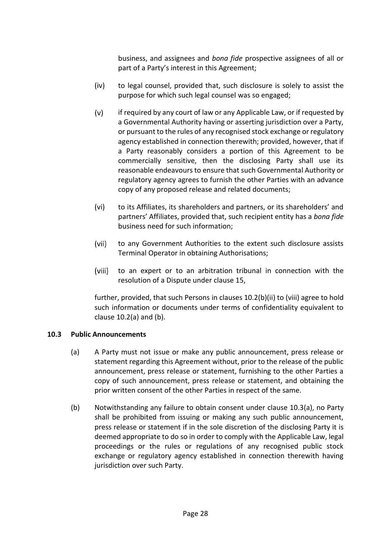business, and assignees and *bona fide* prospective assignees of all or part of a Party's interest in this Agreement;

- $(iv)$ to legal counsel, provided that, such disclosure is solely to assist the purpose for which such legal counsel was so engaged;
- $(v)$ if required by any court of law or any Applicable Law, or if requested by a Governmental Authority having or asserting jurisdiction over a Party, or pursuant to the rules of any recognised stock exchange or regulatory agency established in connection therewith; provided, however, that if a Party reasonably considers a portion of this Agreement to be commercially sensitive, then the disclosing Party shall use its reasonable endeavours to ensure that such Governmental Authority or regulatory agency agrees to furnish the other Parties with an advance copy of any proposed release and related documents;
- $(vi)$ to its Affiliates, its shareholders and partners, or its shareholders' and partners' Affiliates, provided that, such recipient entity has a *bona fide*  business need for such information;
- $(vii)$ to any Government Authorities to the extent such disclosure assists Terminal Operator in obtaining Authorisations;
- <span id="page-31-1"></span> $(viii)$ to an expert or to an arbitration tribunal in connection with the resolution of a Dispute under clause [15,](#page-33-4)

further, provided, that such Persons in clause[s 10.2](#page-30-2)[\(b\)](#page-30-4)[\(ii\)](#page-30-5) to [\(viii\)](#page-31-1) agree to hold such information or documents under terms of confidentiality equivalent to clause [10.2](#page-30-2)[\(a\)](#page-30-3) and [\(b\).](#page-30-4)

## <span id="page-31-2"></span><span id="page-31-0"></span>**10.3 Public Announcements**

- (a) A Party must not issue or make any public announcement, press release or statement regarding this Agreement without, prior to the release of the public announcement, press release or statement, furnishing to the other Parties a copy of such announcement, press release or statement, and obtaining the prior written consent of the other Parties in respect of the same.
- (b) Notwithstanding any failure to obtain consent under clause [10.3](#page-31-0)[\(a\),](#page-31-2) no Party shall be prohibited from issuing or making any such public announcement, press release or statement if in the sole discretion of the disclosing Party it is deemed appropriate to do so in order to comply with the Applicable Law, legal proceedings or the rules or regulations of any recognised public stock exchange or regulatory agency established in connection therewith having jurisdiction over such Party.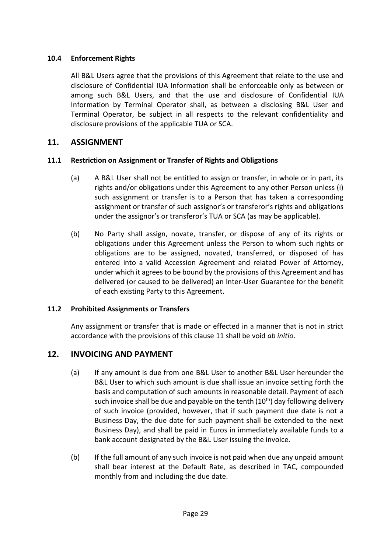# <span id="page-32-0"></span>**10.4 Enforcement Rights**

All B&L Users agree that the provisions of this Agreement that relate to the use and disclosure of Confidential IUA Information shall be enforceable only as between or among such B&L Users, and that the use and disclosure of Confidential IUA Information by Terminal Operator shall, as between a disclosing B&L User and Terminal Operator, be subject in all respects to the relevant confidentiality and disclosure provisions of the applicable TUA or SCA.

# <span id="page-32-1"></span>**11. ASSIGNMENT**

# <span id="page-32-2"></span>**11.1 Restriction on Assignment or Transfer of Rights and Obligations**

- (a) A B&L User shall not be entitled to assign or transfer, in whole or in part, its rights and/or obligations under this Agreement to any other Person unless (i) such assignment or transfer is to a Person that has taken a corresponding assignment or transfer of such assignor's or transferor's rights and obligations under the assignor's or transferor's TUA or SCA (as may be applicable).
- (b) No Party shall assign, novate, transfer, or dispose of any of its rights or obligations under this Agreement unless the Person to whom such rights or obligations are to be assigned, novated, transferred, or disposed of has entered into a valid Accession Agreement and related Power of Attorney, under which it agrees to be bound by the provisions of this Agreement and has delivered (or caused to be delivered) an Inter-User Guarantee for the benefit of each existing Party to this Agreement.

## <span id="page-32-3"></span>**11.2 Prohibited Assignments or Transfers**

Any assignment or transfer that is made or effected in a manner that is not in strict accordance with the provisions of this clause [11](#page-32-1) shall be void *ab initio*.

# <span id="page-32-4"></span>**12. INVOICING AND PAYMENT**

- (a) If any amount is due from one B&L User to another B&L User hereunder the B&L User to which such amount is due shall issue an invoice setting forth the basis and computation of such amounts in reasonable detail. Payment of each such invoice shall be due and payable on the tenth  $(10<sup>th</sup>)$  day following delivery of such invoice (provided, however, that if such payment due date is not a Business Day, the due date for such payment shall be extended to the next Business Day), and shall be paid in Euros in immediately available funds to a bank account designated by the B&L User issuing the invoice.
- (b) If the full amount of any such invoice is not paid when due any unpaid amount shall bear interest at the Default Rate, as described in TAC, compounded monthly from and including the due date.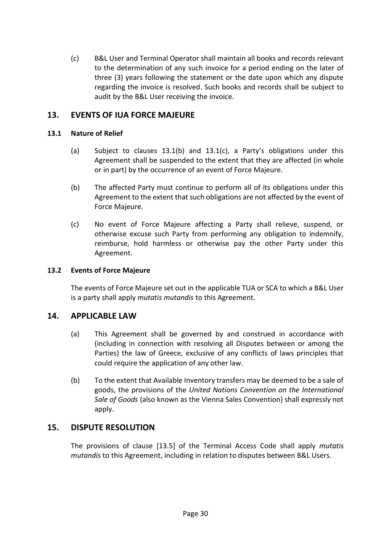(c) B&L User and Terminal Operator shall maintain all books and records relevant to the determination of any such invoice for a period ending on the later of three (3) years following the statement or the date upon which any dispute regarding the invoice is resolved. Such books and records shall be subject to audit by the B&L User receiving the invoice.

# <span id="page-33-0"></span>**13. EVENTS OF IUA FORCE MAJEURE**

#### <span id="page-33-1"></span>**13.1 Nature of Relief**

- (a) Subject to clauses [13.1\(b\)](#page-33-5) and [13.1\(c\),](#page-33-6) a Party's obligations under this Agreement shall be suspended to the extent that they are affected (in whole or in part) by the occurrence of an event of Force Majeure.
- <span id="page-33-5"></span>(b) The affected Party must continue to perform all of its obligations under this Agreement to the extent that such obligations are not affected by the event of Force Majeure.
- <span id="page-33-6"></span>(c) No event of Force Majeure affecting a Party shall relieve, suspend, or otherwise excuse such Party from performing any obligation to indemnify, reimburse, hold harmless or otherwise pay the other Party under this Agreement.

#### <span id="page-33-2"></span>**13.2 Events of Force Majeure**

The events of Force Majeure set out in the applicable TUA or SCA to which a B&L User is a party shall apply *mutatis mutandis* to this Agreement.

# <span id="page-33-3"></span>**14. APPLICABLE LAW**

- (a) This Agreement shall be governed by and construed in accordance with (including in connection with resolving all Disputes between or among the Parties) the law of Greece, exclusive of any conflicts of laws principles that could require the application of any other law.
- (b) To the extent that Available Inventory transfers may be deemed to be a sale of goods, the provisions of the *United Nations Convention on the International Sale of Goods* (also known as the Vienna Sales Convention) shall expressly not apply.

## <span id="page-33-4"></span>**15. DISPUTE RESOLUTION**

The provisions of clause [13.5] of the Terminal Access Code shall apply *mutatis mutandis* to this Agreement, including in relation to disputes between B&L Users.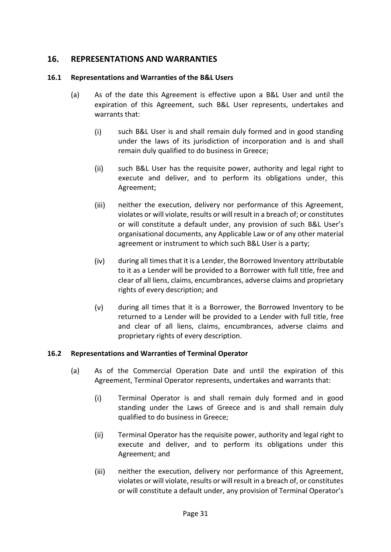# <span id="page-34-0"></span>**16. REPRESENTATIONS AND WARRANTIES**

# <span id="page-34-1"></span>**16.1 Representations and Warranties of the B&L Users**

- (a) As of the date this Agreement is effective upon a B&L User and until the expiration of this Agreement, such B&L User represents, undertakes and warrants that:
	- $(i)$ such B&L User is and shall remain duly formed and in good standing under the laws of its jurisdiction of incorporation and is and shall remain duly qualified to do business in Greece;
	- $(ii)$ such B&L User has the requisite power, authority and legal right to execute and deliver, and to perform its obligations under, this Agreement;
	- $(iii)$ neither the execution, delivery nor performance of this Agreement, violates or will violate, results or will result in a breach of; or constitutes or will constitute a default under, any provision of such B&L User's organisational documents, any Applicable Law or of any other material agreement or instrument to which such B&L User is a party;
	- $(iv)$ during all times that it is a Lender, the Borrowed Inventory attributable to it as a Lender will be provided to a Borrower with full title, free and clear of all liens, claims, encumbrances, adverse claims and proprietary rights of every description; and
	- $(v)$ during all times that it is a Borrower, the Borrowed Inventory to be returned to a Lender will be provided to a Lender with full title, free and clear of all liens, claims, encumbrances, adverse claims and proprietary rights of every description.

# <span id="page-34-2"></span>**16.2 Representations and Warranties of Terminal Operator**

- (a) As of the Commercial Operation Date and until the expiration of this Agreement, Terminal Operator represents, undertakes and warrants that:
	- $(i)$ Terminal Operator is and shall remain duly formed and in good standing under the Laws of Greece and is and shall remain duly qualified to do business in Greece;
	- $(ii)$ Terminal Operator has the requisite power, authority and legal right to execute and deliver, and to perform its obligations under this Agreement; and
	- $(iii)$ neither the execution, delivery nor performance of this Agreement, violates or will violate, results or will result in a breach of, or constitutes or will constitute a default under, any provision of Terminal Operator's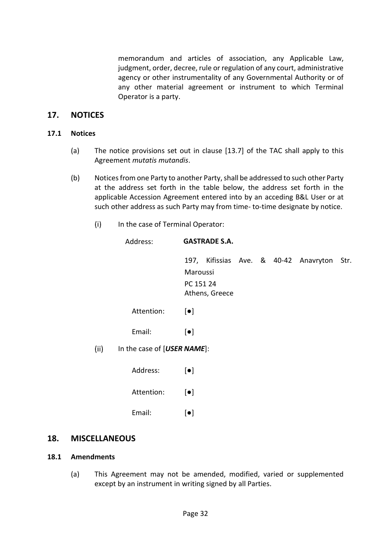memorandum and articles of association, any Applicable Law, judgment, order, decree, rule or regulation of any court, administrative agency or other instrumentality of any Governmental Authority or of any other material agreement or instrument to which Terminal Operator is a party.

## <span id="page-35-0"></span>**17. NOTICES**

#### <span id="page-35-1"></span>**17.1 Notices**

- (a) The notice provisions set out in clause [13.7] of the TAC shall apply to this Agreement *mutatis mutandis*.
- <span id="page-35-4"></span>(b) Noticesfrom one Party to another Party, shall be addressed to such other Party at the address set forth in the table below, the address set forth in the applicable Accession Agreement entered into by an acceding B&L User or at such other address as such Party may from time- to-time designate by notice.
	- $(i)$ In the case of Terminal Operator:

| Address:                    | <b>GASTRADE S.A.</b>                    |  |  |  |                                            |  |
|-----------------------------|-----------------------------------------|--|--|--|--------------------------------------------|--|
|                             | Maroussi<br>PC 151 24<br>Athens, Greece |  |  |  | 197, Kifissias Ave. & 40-42 Anavryton Str. |  |
| Attention:                  | $\lceil \bullet \rceil$                 |  |  |  |                                            |  |
| Email:                      | $\lceil \bullet \rceil$                 |  |  |  |                                            |  |
| In the case of [USER NAME]: |                                         |  |  |  |                                            |  |
| Address:                    | $\lceil \bullet \rceil$                 |  |  |  |                                            |  |
| Attention:                  | $\lceil \bullet \rceil$                 |  |  |  |                                            |  |

Email: [●]

#### <span id="page-35-2"></span>**18. MISCELLANEOUS**

 $(ii)$ 

#### <span id="page-35-3"></span>**18.1 Amendments**

(a) This Agreement may not be amended, modified, varied or supplemented except by an instrument in writing signed by all Parties.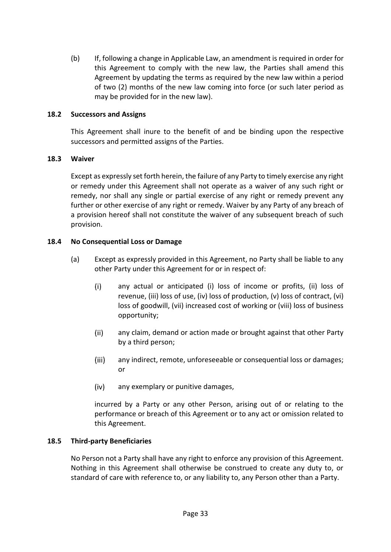(b) If, following a change in Applicable Law, an amendment is required in order for this Agreement to comply with the new law, the Parties shall amend this Agreement by updating the terms as required by the new law within a period of two (2) months of the new law coming into force (or such later period as may be provided for in the new law).

#### <span id="page-36-0"></span>**18.2 Successors and Assigns**

This Agreement shall inure to the benefit of and be binding upon the respective successors and permitted assigns of the Parties.

#### <span id="page-36-1"></span>**18.3 Waiver**

Except as expressly set forth herein, the failure of any Party to timely exercise any right or remedy under this Agreement shall not operate as a waiver of any such right or remedy, nor shall any single or partial exercise of any right or remedy prevent any further or other exercise of any right or remedy. Waiver by any Party of any breach of a provision hereof shall not constitute the waiver of any subsequent breach of such provision.

#### <span id="page-36-2"></span>**18.4 No Consequential Loss or Damage**

- (a) Except as expressly provided in this Agreement, no Party shall be liable to any other Party under this Agreement for or in respect of:
	- $(i)$ any actual or anticipated (i) loss of income or profits, (ii) loss of revenue, (iii) loss of use, (iv) loss of production, (v) loss of contract, (vi) loss of goodwill, (vii) increased cost of working or (viii) loss of business opportunity;
	- $(ii)$ any claim, demand or action made or brought against that other Party by a third person;
	- $(iii)$ any indirect, remote, unforeseeable or consequential loss or damages; or
	- $(iv)$ any exemplary or punitive damages,

incurred by a Party or any other Person, arising out of or relating to the performance or breach of this Agreement or to any act or omission related to this Agreement.

#### <span id="page-36-3"></span>**18.5 Third-party Beneficiaries**

No Person not a Party shall have any right to enforce any provision of this Agreement. Nothing in this Agreement shall otherwise be construed to create any duty to, or standard of care with reference to, or any liability to, any Person other than a Party.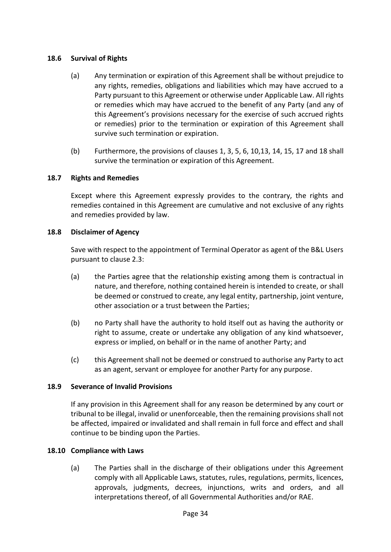## <span id="page-37-0"></span>**18.6 Survival of Rights**

- (a) Any termination or expiration of this Agreement shall be without prejudice to any rights, remedies, obligations and liabilities which may have accrued to a Party pursuant to this Agreement or otherwise under Applicable Law. All rights or remedies which may have accrued to the benefit of any Party (and any of this Agreement's provisions necessary for the exercise of such accrued rights or remedies) prior to the termination or expiration of this Agreement shall survive such termination or expiration.
- (b) Furthermore, the provisions of clauses [1, 3,](#page-4-0) [5,](#page-18-3) [6,](#page-19-0) [10](#page-30-0)[,13,](#page-33-0) [14,](#page-33-3) [15,](#page-33-4) [17](#page-35-0) and [18](#page-35-2) shall survive the termination or expiration of this Agreement.

#### <span id="page-37-1"></span>**18.7 Rights and Remedies**

Except where this Agreement expressly provides to the contrary, the rights and remedies contained in this Agreement are cumulative and not exclusive of any rights and remedies provided by law.

#### <span id="page-37-2"></span>**18.8 Disclaimer of Agency**

Save with respect to the appointment of Terminal Operator as agent of the B&L Users pursuant to clause [2.3:](#page-12-0)

- (a) the Parties agree that the relationship existing among them is contractual in nature, and therefore, nothing contained herein is intended to create, or shall be deemed or construed to create, any legal entity, partnership, joint venture, other association or a trust between the Parties;
- (b) no Party shall have the authority to hold itself out as having the authority or right to assume, create or undertake any obligation of any kind whatsoever, express or implied, on behalf or in the name of another Party; and
- (c) this Agreement shall not be deemed or construed to authorise any Party to act as an agent, servant or employee for another Party for any purpose.

#### <span id="page-37-3"></span>**18.9 Severance of Invalid Provisions**

If any provision in this Agreement shall for any reason be determined by any court or tribunal to be illegal, invalid or unenforceable, then the remaining provisions shall not be affected, impaired or invalidated and shall remain in full force and effect and shall continue to be binding upon the Parties.

#### <span id="page-37-4"></span>**18.10 Compliance with Laws**

(a) The Parties shall in the discharge of their obligations under this Agreement comply with all Applicable Laws, statutes, rules, regulations, permits, licences, approvals, judgments, decrees, injunctions, writs and orders, and all interpretations thereof, of all Governmental Authorities and/or RAE.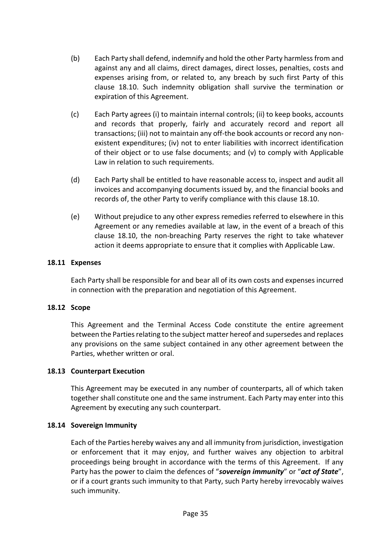- (b) Each Party shall defend, indemnify and hold the other Party harmless from and against any and all claims, direct damages, direct losses, penalties, costs and expenses arising from, or related to, any breach by such first Party of this clause [18.10.](#page-37-4) Such indemnity obligation shall survive the termination or expiration of this Agreement.
- (c) Each Party agrees (i) to maintain internal controls; (ii) to keep books, accounts and records that properly, fairly and accurately record and report all transactions; (iii) not to maintain any off-the book accounts or record any nonexistent expenditures; (iv) not to enter liabilities with incorrect identification of their object or to use false documents; and (v) to comply with Applicable Law in relation to such requirements.
- (d) Each Party shall be entitled to have reasonable access to, inspect and audit all invoices and accompanying documents issued by, and the financial books and records of, the other Party to verify compliance with this clause [18.10.](#page-37-4)
- (e) Without prejudice to any other express remedies referred to elsewhere in this Agreement or any remedies available at law, in the event of a breach of this clause [18.10,](#page-37-4) the non-breaching Party reserves the right to take whatever action it deems appropriate to ensure that it complies with Applicable Law.

#### <span id="page-38-0"></span>**18.11 Expenses**

Each Party shall be responsible for and bear all of its own costs and expenses incurred in connection with the preparation and negotiation of this Agreement.

#### <span id="page-38-1"></span>**18.12 Scope**

This Agreement and the Terminal Access Code constitute the entire agreement between the Parties relating to the subject matter hereof and supersedes and replaces any provisions on the same subject contained in any other agreement between the Parties, whether written or oral.

## <span id="page-38-2"></span>**18.13 Counterpart Execution**

This Agreement may be executed in any number of counterparts, all of which taken together shall constitute one and the same instrument. Each Party may enter into this Agreement by executing any such counterpart.

#### <span id="page-38-3"></span>**18.14 Sovereign Immunity**

Each of the Parties hereby waives any and all immunity from jurisdiction, investigation or enforcement that it may enjoy, and further waives any objection to arbitral proceedings being brought in accordance with the terms of this Agreement. If any Party has the power to claim the defences of "*sovereign immunity*" or "*act of State*", or if a court grants such immunity to that Party, such Party hereby irrevocably waives such immunity.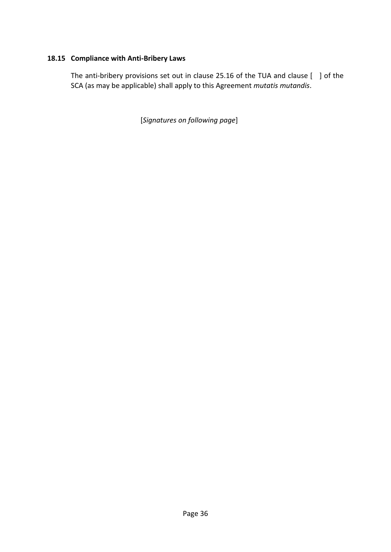# <span id="page-39-0"></span>**18.15 Compliance with Anti-Bribery Laws**

The anti-bribery provisions set out in clause 25.16 of the TUA and clause [ ] of the SCA (as may be applicable) shall apply to this Agreement *mutatis mutandis*.

[*Signatures on following page*]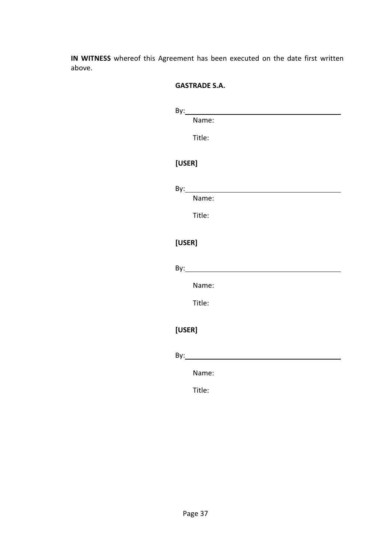**IN WITNESS** whereof this Agreement has been executed on the date first written above.

#### **GASTRADE S.A.**

| Bv: |       |  |  |  |
|-----|-------|--|--|--|
|     | Name: |  |  |  |
|     |       |  |  |  |

Title:

# **[USER]**

By:

Name:

Title:

# **[USER]**

By: **Example 2018** 

Name:

Title:

# **[USER]**

 $By:$ 

Name:

Title: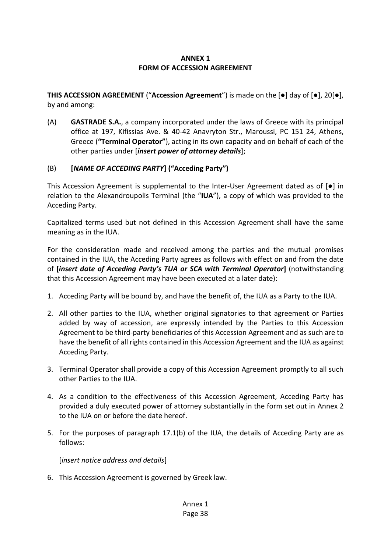# **ANNEX 1 FORM OF ACCESSION AGREEMENT**

**THIS ACCESSION AGREEMENT** ("**Accession Agreement**") is made on the [●] day of [●], 20[●], by and among:

(A) **GASTRADE S.A.**, a company incorporated under the laws of Greece with its principal office at 197, Kifissias Ave. & 40-42 Anavryton Str., Maroussi, PC 151 24, Athens, Greece (**"Terminal Operator"**), acting in its own capacity and on behalf of each of the other parties under [*insert power of attorney details*];

## (B) **[***NAME OF ACCEDING PARTY***] ("Acceding Party")**

This Accession Agreement is supplemental to the Inter-User Agreement dated as of  $[e]$  in relation to the Alexandroupolis Terminal (the "**IUA**"), a copy of which was provided to the Acceding Party.

Capitalized terms used but not defined in this Accession Agreement shall have the same meaning as in the IUA.

For the consideration made and received among the parties and the mutual promises contained in the IUA, the Acceding Party agrees as follows with effect on and from the date of **[***insert date of Acceding Party's TUA or SCA with Terminal Operator***]** (notwithstanding that this Accession Agreement may have been executed at a later date):

- 1. Acceding Party will be bound by, and have the benefit of, the IUA as a Party to the IUA.
- 2. All other parties to the IUA, whether original signatories to that agreement or Parties added by way of accession, are expressly intended by the Parties to this Accession Agreement to be third-party beneficiaries of this Accession Agreement and as such are to have the benefit of all rights contained in this Accession Agreement and the IUA as against Acceding Party.
- 3. Terminal Operator shall provide a copy of this Accession Agreement promptly to all such other Parties to the IUA.
- 4. As a condition to the effectiveness of this Accession Agreement, Acceding Party has provided a duly executed power of attorney substantially in the form set out in Annex 2 to the IUA on or before the date hereof.
- 5. For the purposes of paragraph [17.1](#page-35-1)[\(b\)](#page-35-4) of the IUA, the details of Acceding Party are as follows:

[*insert notice address and details*]

6. This Accession Agreement is governed by Greek law.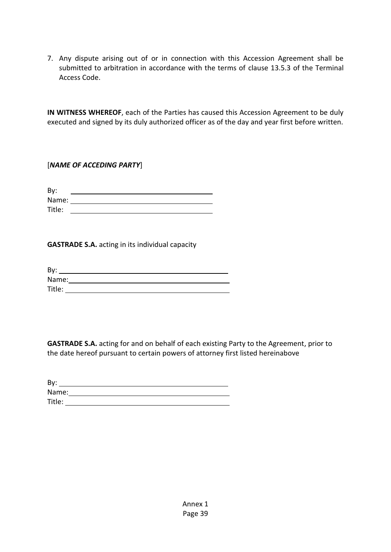7. Any dispute arising out of or in connection with this Accession Agreement shall be submitted to arbitration in accordance with the terms of clause 13.5.3 of the Terminal Access Code.

**IN WITNESS WHEREOF**, each of the Parties has caused this Accession Agreement to be duly executed and signed by its duly authorized officer as of the day and year first before written.

[*NAME OF ACCEDING PARTY*]

| By:    |  |
|--------|--|
| Name:  |  |
| Title: |  |

**GASTRADE S.A.** acting in its individual capacity

| By:    |  |  |
|--------|--|--|
| Name:  |  |  |
| Title: |  |  |

**GASTRADE S.A.** acting for and on behalf of each existing Party to the Agreement, prior to the date hereof pursuant to certain powers of attorney first listed hereinabove

| By:    |  |  |
|--------|--|--|
| Name:  |  |  |
| Title: |  |  |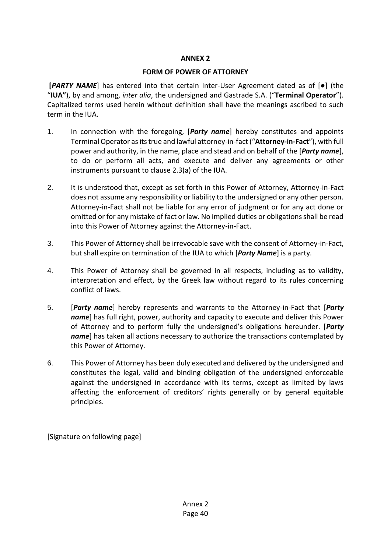## **ANNEX 2**

#### **FORM OF POWER OF ATTORNEY**

**[***PARTY NAME*] has entered into that certain Inter-User Agreement dated as of [●] (the "**IUA"**), by and among, *inter alia*, the undersigned and Gastrade S.A. ("**Terminal Operator**"). Capitalized terms used herein without definition shall have the meanings ascribed to such term in the IUA.

- 1. In connection with the foregoing, [*Party name*] hereby constitutes and appoints Terminal Operator as its true and lawful attorney-in-fact ("**Attorney-in-Fact**"), with full power and authority, in the name, place and stead and on behalf of the [*Party name*], to do or perform all acts, and execute and deliver any agreements or other instruments pursuant to clause [2.3\(a\)](#page-12-4) of the IUA.
- 2. It is understood that, except as set forth in this Power of Attorney, Attorney-in-Fact does not assume any responsibility or liability to the undersigned or any other person. Attorney-in-Fact shall not be liable for any error of judgment or for any act done or omitted or for any mistake of fact or law. No implied duties or obligations shall be read into this Power of Attorney against the Attorney-in-Fact.
- 3. This Power of Attorney shall be irrevocable save with the consent of Attorney-in-Fact, but shall expire on termination of the IUA to which [*Party Name*] is a party.
- 4. This Power of Attorney shall be governed in all respects, including as to validity, interpretation and effect, by the Greek law without regard to its rules concerning conflict of laws.
- 5. [*Party name*] hereby represents and warrants to the Attorney-in-Fact that [*Party name*] has full right, power, authority and capacity to execute and deliver this Power of Attorney and to perform fully the undersigned's obligations hereunder. [*Party name*] has taken all actions necessary to authorize the transactions contemplated by this Power of Attorney.
- 6. This Power of Attorney has been duly executed and delivered by the undersigned and constitutes the legal, valid and binding obligation of the undersigned enforceable against the undersigned in accordance with its terms, except as limited by laws affecting the enforcement of creditors' rights generally or by general equitable principles.

[Signature on following page]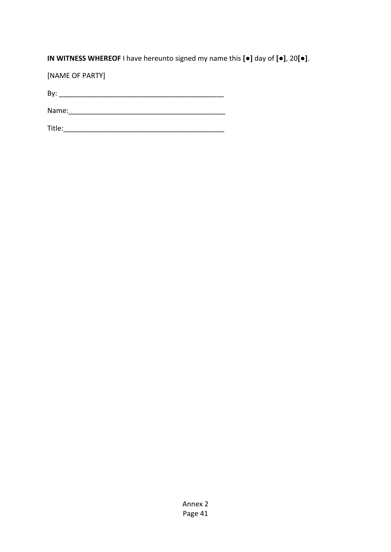**IN WITNESS WHEREOF** I have hereunto signed my name this **[●]** day of **[●]**, 20**[●]**.

[NAME OF PARTY]

By: \_\_\_\_\_\_\_\_\_\_\_\_\_\_\_\_\_\_\_\_\_\_\_\_\_\_\_\_\_\_\_\_\_\_\_\_\_\_\_\_\_\_

Name:\_\_\_\_\_\_\_\_\_\_\_\_\_\_\_\_\_\_\_\_\_\_\_\_\_\_\_\_\_\_\_\_\_\_\_\_\_\_\_\_

Title:\_\_\_\_\_\_\_\_\_\_\_\_\_\_\_\_\_\_\_\_\_\_\_\_\_\_\_\_\_\_\_\_\_\_\_\_\_\_\_\_\_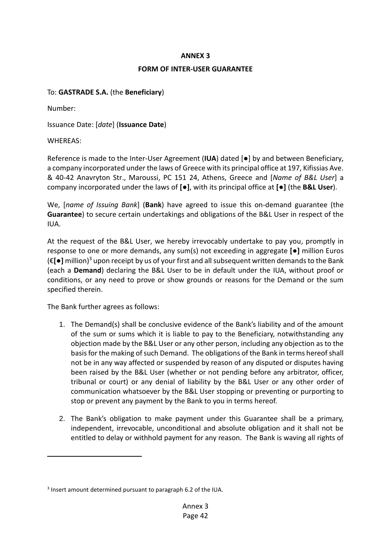#### **ANNEX 3**

#### **FORM OF INTER-USER GUARANTEE**

## To: **GASTRADE S.A.** (the **Beneficiary**)

Number:

Issuance Date: [*date*] (**Issuance Date**)

WHEREAS:

Reference is made to the Inter-User Agreement (**IUA**) dated [●] by and between Beneficiary, a company incorporated under the laws of Greece with its principal office at 197, Kifissias Ave. & 40-42 Anavryton Str., Maroussi, PC 151 24, Athens, Greece and [*Name of B&L User*] a company incorporated under the laws of **[●]**, with its principal office at **[●]** (the **B&L User**).

We, [*name of Issuing Bank*] (**Bank**) have agreed to issue this on-demand guarantee (the **Guarantee**) to secure certain undertakings and obligations of the B&L User in respect of the IUA.

At the request of the B&L User, we hereby irrevocably undertake to pay you, promptly in response to one or more demands, any sum(s) not exceeding in aggregate **[●]** million Euros (€**[●]** million) <sup>3</sup> upon receipt by us of your first and all subsequent written demands to the Bank (each a **Demand**) declaring the B&L User to be in default under the IUA, without proof or conditions, or any need to prove or show grounds or reasons for the Demand or the sum specified therein.

The Bank further agrees as follows:

- 1. The Demand(s) shall be conclusive evidence of the Bank's liability and of the amount of the sum or sums which it is liable to pay to the Beneficiary, notwithstanding any objection made by the B&L User or any other person, including any objection as to the basis for the making of such Demand. The obligations of the Bank in terms hereof shall not be in any way affected or suspended by reason of any disputed or disputes having been raised by the B&L User (whether or not pending before any arbitrator, officer, tribunal or court) or any denial of liability by the B&L User or any other order of communication whatsoever by the B&L User stopping or preventing or purporting to stop or prevent any payment by the Bank to you in terms hereof.
- 2. The Bank's obligation to make payment under this Guarantee shall be a primary, independent, irrevocable, unconditional and absolute obligation and it shall not be entitled to delay or withhold payment for any reason. The Bank is waving all rights of

<sup>&</sup>lt;sup>3</sup> Insert amount determined pursuant to paragraph [6.2](#page-20-0) of the IUA.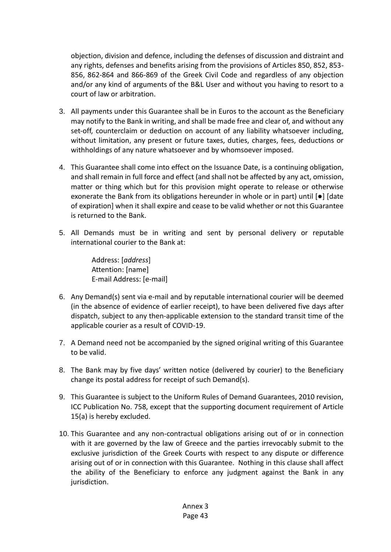objection, division and defence, including the defenses of discussion and distraint and any rights, defenses and benefits arising from the provisions of Articles 850, 852, 853- 856, 862-864 and 866-869 of the Greek Civil Code and regardless of any objection and/or any kind of arguments of the B&L User and without you having to resort to a court of law or arbitration.

- 3. All payments under this Guarantee shall be in Euros to the account as the Beneficiary may notify to the Bank in writing, and shall be made free and clear of, and without any set-off, counterclaim or deduction on account of any liability whatsoever including, without limitation, any present or future taxes, duties, charges, fees, deductions or withholdings of any nature whatsoever and by whomsoever imposed.
- 4. This Guarantee shall come into effect on the Issuance Date, is a continuing obligation, and shall remain in full force and effect (and shall not be affected by any act, omission, matter or thing which but for this provision might operate to release or otherwise exonerate the Bank from its obligations hereunder in whole or in part) until [●] [date of expiration] when it shall expire and cease to be valid whether or not this Guarantee is returned to the Bank.
- 5. All Demands must be in writing and sent by personal delivery or reputable international courier to the Bank at:

Address: [*address*] Attention: [name] E-mail Address: [e-mail]

- 6. Any Demand(s) sent via e-mail and by reputable international courier will be deemed (in the absence of evidence of earlier receipt), to have been delivered five days after dispatch, subject to any then-applicable extension to the standard transit time of the applicable courier as a result of COVID-19.
- 7. A Demand need not be accompanied by the signed original writing of this Guarantee to be valid.
- 8. The Bank may by five days' written notice (delivered by courier) to the Beneficiary change its postal address for receipt of such Demand(s).
- 9. This Guarantee is subject to the Uniform Rules of Demand Guarantees, 2010 revision, ICC Publication No. 758, except that the supporting document requirement of Article 15(a) is hereby excluded.
- 10. This Guarantee and any non-contractual obligations arising out of or in connection with it are governed by the law of Greece and the parties irrevocably submit to the exclusive jurisdiction of the Greek Courts with respect to any dispute or difference arising out of or in connection with this Guarantee. Nothing in this clause shall affect the ability of the Beneficiary to enforce any judgment against the Bank in any jurisdiction.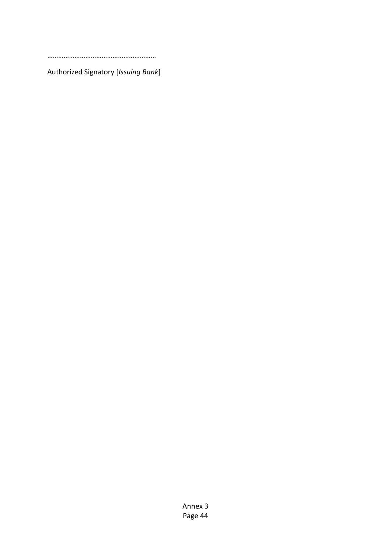……………………………………………………

Authorized Signatory [*Issuing Bank*]